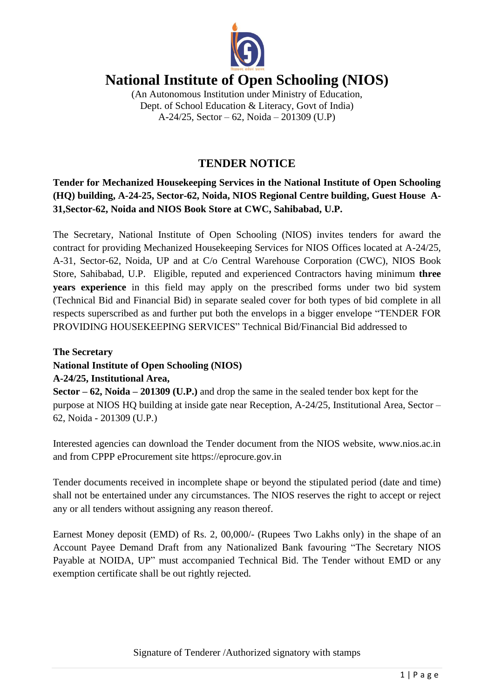

# **National Institute of Open Schooling (NIOS)**

(An Autonomous Institution under Ministry of Education, Dept. of School Education & Literacy, Govt of India) A-24/25, Sector – 62, Noida – 201309 (U.P)

# **TENDER NOTICE**

**Tender for Mechanized Housekeeping Services in the National Institute of Open Schooling (HQ) building, A-24-25, Sector-62, Noida, NIOS Regional Centre building, Guest House A-31,Sector-62, Noida and NIOS Book Store at CWC, Sahibabad, U.P.**

The Secretary, National Institute of Open Schooling (NIOS) invites tenders for award the contract for providing Mechanized Housekeeping Services for NIOS Offices located at A-24/25, A-31, Sector-62, Noida, UP and at C/o Central Warehouse Corporation (CWC), NIOS Book Store, Sahibabad, U.P. Eligible, reputed and experienced Contractors having minimum **three years experience** in this field may apply on the prescribed forms under two bid system (Technical Bid and Financial Bid) in separate sealed cover for both types of bid complete in all respects superscribed as and further put both the envelops in a bigger envelope "TENDER FOR PROVIDING HOUSEKEEPING SERVICES" Technical Bid/Financial Bid addressed to

**The Secretary National Institute of Open Schooling (NIOS) A-24/25, Institutional Area,**

**Sector – 62, Noida – 201309 (U.P.)** and drop the same in the sealed tender box kept for the purpose at NIOS HQ building at inside gate near Reception, A-24/25, Institutional Area, Sector – 62, Noida - 201309 (U.P.)

Interested agencies can download the Tender document from the NIOS website, www.nios.ac.in and from CPPP eProcurement site [https://eprocure.gov.in](https://eprocure.gov.in/)

Tender documents received in incomplete shape or beyond the stipulated period (date and time) shall not be entertained under any circumstances. The NIOS reserves the right to accept or reject any or all tenders without assigning any reason thereof.

Earnest Money deposit (EMD) of Rs. 2, 00,000/- (Rupees Two Lakhs only) in the shape of an Account Payee Demand Draft from any Nationalized Bank favouring "The Secretary NIOS Payable at NOIDA, UP" must accompanied Technical Bid. The Tender without EMD or any exemption certificate shall be out rightly rejected.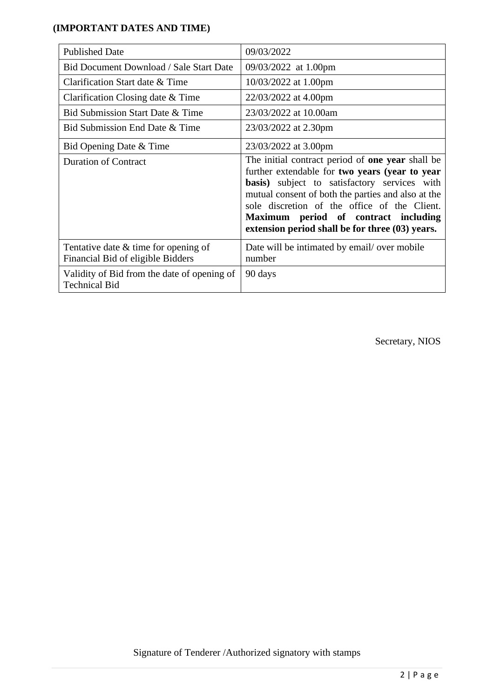# **(IMPORTANT DATES AND TIME)**

| <b>Published Date</b>                                                       | 09/03/2022                                                                                                                                                                                                                                                                                                                                                         |
|-----------------------------------------------------------------------------|--------------------------------------------------------------------------------------------------------------------------------------------------------------------------------------------------------------------------------------------------------------------------------------------------------------------------------------------------------------------|
| <b>Bid Document Download / Sale Start Date</b>                              | 09/03/2022 at 1.00pm                                                                                                                                                                                                                                                                                                                                               |
| Clarification Start date & Time                                             | 10/03/2022 at 1.00pm                                                                                                                                                                                                                                                                                                                                               |
| Clarification Closing date & Time                                           | 22/03/2022 at 4.00pm                                                                                                                                                                                                                                                                                                                                               |
| Bid Submission Start Date & Time                                            | 23/03/2022 at 10.00am                                                                                                                                                                                                                                                                                                                                              |
| Bid Submission End Date & Time                                              | 23/03/2022 at 2.30pm                                                                                                                                                                                                                                                                                                                                               |
| Bid Opening Date & Time                                                     | 23/03/2022 at 3.00pm                                                                                                                                                                                                                                                                                                                                               |
| <b>Duration of Contract</b>                                                 | The initial contract period of <b>one year</b> shall be<br>further extendable for two years (year to year<br><b>basis</b> ) subject to satisfactory services with<br>mutual consent of both the parties and also at the<br>sole discretion of the office of the Client.<br>Maximum period of contract including<br>extension period shall be for three (03) years. |
| Tentative date $&$ time for opening of<br>Financial Bid of eligible Bidders | Date will be intimated by email/ over mobile<br>number                                                                                                                                                                                                                                                                                                             |
| Validity of Bid from the date of opening of<br><b>Technical Bid</b>         | 90 days                                                                                                                                                                                                                                                                                                                                                            |

Secretary, NIOS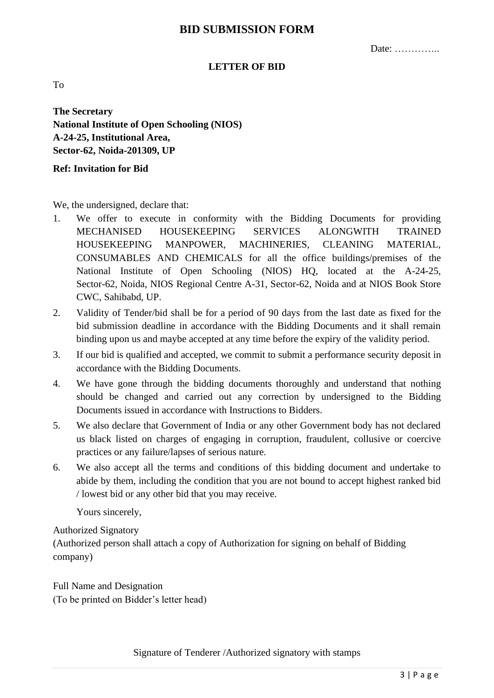# **BID SUBMISSION FORM**

Date: …………..

#### **LETTER OF BID**

To

**The Secretary National Institute of Open Schooling (NIOS) A-24-25, Institutional Area, Sector-62, Noida-201309, UP**

**Ref: Invitation for Bid**

We, the undersigned, declare that:

- 1. We offer to execute in conformity with the Bidding Documents for providing MECHANISED HOUSEKEEPING SERVICES ALONGWITH TRAINED HOUSEKEEPING MANPOWER, MACHINERIES, CLEANING MATERIAL, CONSUMABLES AND CHEMICALS for all the office buildings/premises of the National Institute of Open Schooling (NIOS) HQ, located at the A-24-25, Sector-62, Noida, NIOS Regional Centre A-31, Sector-62, Noida and at NIOS Book Store CWC, Sahibabd, UP.
- 2. Validity of Tender/bid shall be for a period of 90 days from the last date as fixed for the bid submission deadline in accordance with the Bidding Documents and it shall remain binding upon us and maybe accepted at any time before the expiry of the validity period.
- 3. If our bid is qualified and accepted, we commit to submit a performance security deposit in accordance with the Bidding Documents.
- 4. We have gone through the bidding documents thoroughly and understand that nothing should be changed and carried out any correction by undersigned to the Bidding Documents issued in accordance with Instructions to Bidders.
- 5. We also declare that Government of India or any other Government body has not declared us black listed on charges of engaging in corruption, fraudulent, collusive or coercive practices or any failure/lapses of serious nature.
- 6. We also accept all the terms and conditions of this bidding document and undertake to abide by them, including the condition that you are not bound to accept highest ranked bid / lowest bid or any other bid that you may receive.

Yours sincerely,

Authorized Signatory

(Authorized person shall attach a copy of Authorization for signing on behalf of Bidding company)

Full Name and Designation (To be printed on Bidder's letter head)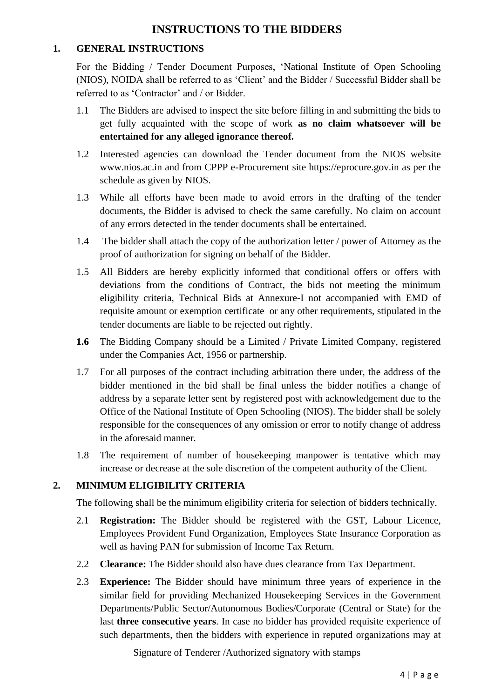# **INSTRUCTIONS TO THE BIDDERS**

## **1. GENERAL INSTRUCTIONS**

For the Bidding / Tender Document Purposes, 'National Institute of Open Schooling (NIOS), NOIDA shall be referred to as 'Client' and the Bidder / Successful Bidder shall be referred to as 'Contractor' and / or Bidder.

- 1.1 The Bidders are advised to inspect the site before filling in and submitting the bids to get fully acquainted with the scope of work **as no claim whatsoever will be entertained for any alleged ignorance thereof.**
- 1.2 Interested agencies can download the Tender document from the NIOS website www.nios.ac.in and from CPPP e-Procurement site [https://eprocure.gov.in](https://eprocure.gov.in/) as per the schedule as given by NIOS.
- 1.3 While all efforts have been made to avoid errors in the drafting of the tender documents, the Bidder is advised to check the same carefully. No claim on account of any errors detected in the tender documents shall be entertained.
- 1.4 The bidder shall attach the copy of the authorization letter / power of Attorney as the proof of authorization for signing on behalf of the Bidder.
- 1.5 All Bidders are hereby explicitly informed that conditional offers or offers with deviations from the conditions of Contract, the bids not meeting the minimum eligibility criteria, Technical Bids at Annexure-I not accompanied with EMD of requisite amount or exemption certificate or any other requirements, stipulated in the tender documents are liable to be rejected out rightly.
- **1.6** The Bidding Company should be a Limited / Private Limited Company, registered under the Companies Act, 1956 or partnership.
- 1.7 For all purposes of the contract including arbitration there under, the address of the bidder mentioned in the bid shall be final unless the bidder notifies a change of address by a separate letter sent by registered post with acknowledgement due to the Office of the National Institute of Open Schooling (NIOS). The bidder shall be solely responsible for the consequences of any omission or error to notify change of address in the aforesaid manner.
- 1.8 The requirement of number of housekeeping manpower is tentative which may increase or decrease at the sole discretion of the competent authority of the Client.

# **2. MINIMUM ELIGIBILITY CRITERIA**

The following shall be the minimum eligibility criteria for selection of bidders technically.

- 2.1 **Registration:** The Bidder should be registered with the GST, Labour Licence, Employees Provident Fund Organization, Employees State Insurance Corporation as well as having PAN for submission of Income Tax Return.
- 2.2 **Clearance:** The Bidder should also have dues clearance from Tax Department.
- 2.3 **Experience:** The Bidder should have minimum three years of experience in the similar field for providing Mechanized Housekeeping Services in the Government Departments/Public Sector/Autonomous Bodies/Corporate (Central or State) for the last **three consecutive years**. In case no bidder has provided requisite experience of such departments, then the bidders with experience in reputed organizations may at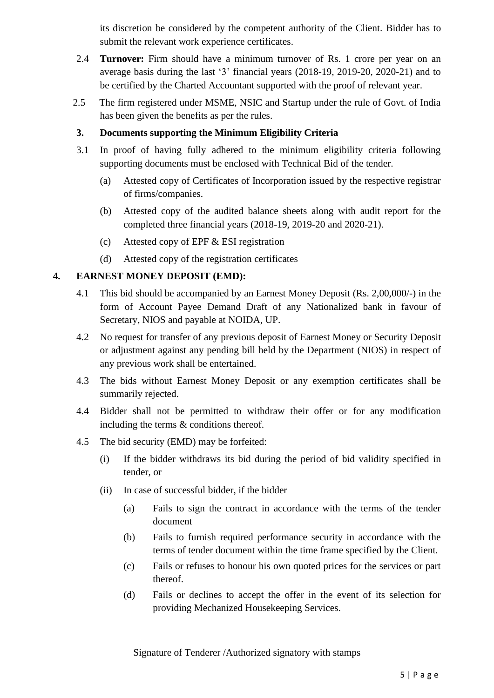its discretion be considered by the competent authority of the Client. Bidder has to submit the relevant work experience certificates.

- 2.4 **Turnover:** Firm should have a minimum turnover of Rs. 1 crore per year on an average basis during the last '3' financial years (2018-19, 2019-20, 2020-21) and to be certified by the Charted Accountant supported with the proof of relevant year.
- 2.5 The firm registered under MSME, NSIC and Startup under the rule of Govt. of India has been given the benefits as per the rules.

## **3. Documents supporting the Minimum Eligibility Criteria**

- 3.1 In proof of having fully adhered to the minimum eligibility criteria following supporting documents must be enclosed with Technical Bid of the tender.
	- (a) Attested copy of Certificates of Incorporation issued by the respective registrar of firms/companies.
	- (b) Attested copy of the audited balance sheets along with audit report for the completed three financial years (2018-19, 2019-20 and 2020-21).
	- (c) Attested copy of EPF & ESI registration
	- (d) Attested copy of the registration certificates

## **4. EARNEST MONEY DEPOSIT (EMD):**

- 4.1 This bid should be accompanied by an Earnest Money Deposit (Rs. 2,00,000/-) in the form of Account Payee Demand Draft of any Nationalized bank in favour of Secretary, NIOS and payable at NOIDA, UP.
- 4.2 No request for transfer of any previous deposit of Earnest Money or Security Deposit or adjustment against any pending bill held by the Department (NIOS) in respect of any previous work shall be entertained.
- 4.3 The bids without Earnest Money Deposit or any exemption certificates shall be summarily rejected.
- 4.4 Bidder shall not be permitted to withdraw their offer or for any modification including the terms & conditions thereof.
- 4.5 The bid security (EMD) may be forfeited:
	- (i) If the bidder withdraws its bid during the period of bid validity specified in tender, or
	- (ii) In case of successful bidder, if the bidder
		- (a) Fails to sign the contract in accordance with the terms of the tender document
		- (b) Fails to furnish required performance security in accordance with the terms of tender document within the time frame specified by the Client.
		- (c) Fails or refuses to honour his own quoted prices for the services or part thereof.
		- (d) Fails or declines to accept the offer in the event of its selection for providing Mechanized Housekeeping Services.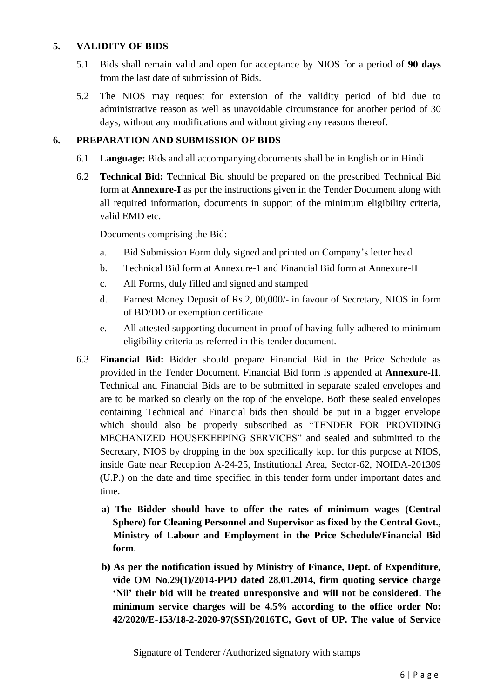## **5. VALIDITY OF BIDS**

- 5.1 Bids shall remain valid and open for acceptance by NIOS for a period of **90 days** from the last date of submission of Bids.
- 5.2 The NIOS may request for extension of the validity period of bid due to administrative reason as well as unavoidable circumstance for another period of 30 days, without any modifications and without giving any reasons thereof.

# **6. PREPARATION AND SUBMISSION OF BIDS**

- 6.1 **Language:** Bids and all accompanying documents shall be in English or in Hindi
- 6.2 **Technical Bid:** Technical Bid should be prepared on the prescribed Technical Bid form at **Annexure-I** as per the instructions given in the Tender Document along with all required information, documents in support of the minimum eligibility criteria, valid EMD etc.

Documents comprising the Bid:

- a. Bid Submission Form duly signed and printed on Company's letter head
- b. Technical Bid form at Annexure-1 and Financial Bid form at Annexure-II
- c. All Forms, duly filled and signed and stamped
- d. Earnest Money Deposit of Rs.2, 00,000/- in favour of Secretary, NIOS in form of BD/DD or exemption certificate.
- e. All attested supporting document in proof of having fully adhered to minimum eligibility criteria as referred in this tender document.
- 6.3 **Financial Bid:** Bidder should prepare Financial Bid in the Price Schedule as provided in the Tender Document. Financial Bid form is appended at **Annexure-II**. Technical and Financial Bids are to be submitted in separate sealed envelopes and are to be marked so clearly on the top of the envelope. Both these sealed envelopes containing Technical and Financial bids then should be put in a bigger envelope which should also be properly subscribed as "TENDER FOR PROVIDING MECHANIZED HOUSEKEEPING SERVICES" and sealed and submitted to the Secretary, NIOS by dropping in the box specifically kept for this purpose at NIOS, inside Gate near Reception A-24-25, Institutional Area, Sector-62, NOIDA-201309 (U.P.) on the date and time specified in this tender form under important dates and time.
	- **a) The Bidder should have to offer the rates of minimum wages (Central Sphere) for Cleaning Personnel and Supervisor as fixed by the Central Govt., Ministry of Labour and Employment in the Price Schedule/Financial Bid form**.
	- **b) As per the notification issued by Ministry of Finance, Dept. of Expenditure, vide OM No.29(1)/2014-PPD dated 28.01.2014, firm quoting service charge 'Nil' their bid will be treated unresponsive and will not be considered. The minimum service charges will be 4.5% according to the office order No: 42/2020/E-153/18-2-2020-97(SSI)/2016TC, Govt of UP. The value of Service**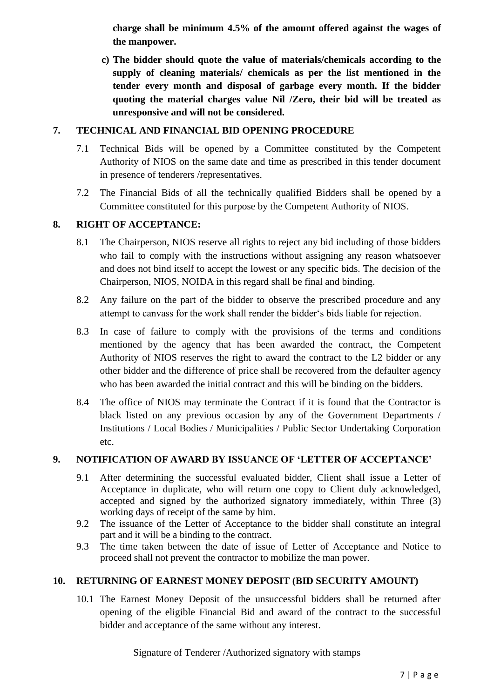**charge shall be minimum 4.5% of the amount offered against the wages of the manpower.** 

**c) The bidder should quote the value of materials/chemicals according to the supply of cleaning materials/ chemicals as per the list mentioned in the tender every month and disposal of garbage every month. If the bidder quoting the material charges value Nil /Zero, their bid will be treated as unresponsive and will not be considered.**

## **7. TECHNICAL AND FINANCIAL BID OPENING PROCEDURE**

- 7.1 Technical Bids will be opened by a Committee constituted by the Competent Authority of NIOS on the same date and time as prescribed in this tender document in presence of tenderers /representatives.
- 7.2 The Financial Bids of all the technically qualified Bidders shall be opened by a Committee constituted for this purpose by the Competent Authority of NIOS.

## **8. RIGHT OF ACCEPTANCE:**

- 8.1 The Chairperson, NIOS reserve all rights to reject any bid including of those bidders who fail to comply with the instructions without assigning any reason whatsoever and does not bind itself to accept the lowest or any specific bids. The decision of the Chairperson, NIOS, NOIDA in this regard shall be final and binding.
- 8.2 Any failure on the part of the bidder to observe the prescribed procedure and any attempt to canvass for the work shall render the bidder's bids liable for rejection.
- 8.3 In case of failure to comply with the provisions of the terms and conditions mentioned by the agency that has been awarded the contract, the Competent Authority of NIOS reserves the right to award the contract to the L2 bidder or any other bidder and the difference of price shall be recovered from the defaulter agency who has been awarded the initial contract and this will be binding on the bidders.
- 8.4 The office of NIOS may terminate the Contract if it is found that the Contractor is black listed on any previous occasion by any of the Government Departments / Institutions / Local Bodies / Municipalities / Public Sector Undertaking Corporation etc.

### **9. NOTIFICATION OF AWARD BY ISSUANCE OF 'LETTER OF ACCEPTANCE'**

- 9.1 After determining the successful evaluated bidder, Client shall issue a Letter of Acceptance in duplicate, who will return one copy to Client duly acknowledged, accepted and signed by the authorized signatory immediately, within Three (3) working days of receipt of the same by him.
- 9.2 The issuance of the Letter of Acceptance to the bidder shall constitute an integral part and it will be a binding to the contract.
- 9.3 The time taken between the date of issue of Letter of Acceptance and Notice to proceed shall not prevent the contractor to mobilize the man power.

### **10. RETURNING OF EARNEST MONEY DEPOSIT (BID SECURITY AMOUNT)**

10.1 The Earnest Money Deposit of the unsuccessful bidders shall be returned after opening of the eligible Financial Bid and award of the contract to the successful bidder and acceptance of the same without any interest.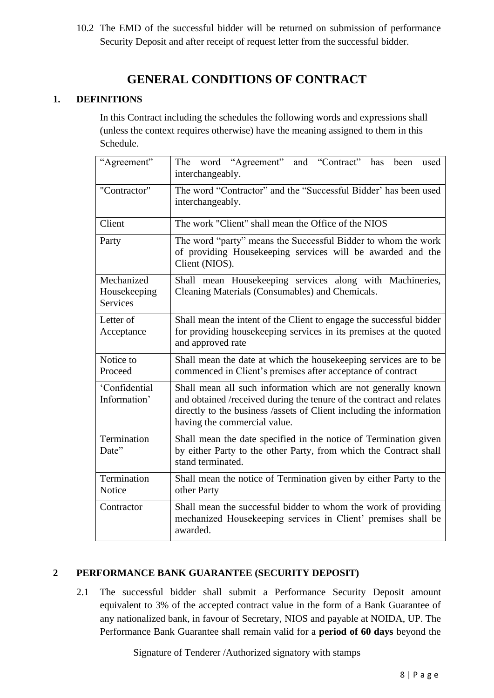10.2 The EMD of the successful bidder will be returned on submission of performance Security Deposit and after receipt of request letter from the successful bidder.

# **GENERAL CONDITIONS OF CONTRACT**

# **1. DEFINITIONS**

In this Contract including the schedules the following words and expressions shall (unless the context requires otherwise) have the meaning assigned to them in this Schedule.

| "Agreement"                                   | The word "Agreement" and "Contract" has<br>been<br>used<br>interchangeably.                                                                                                                                                                   |  |  |  |  |  |
|-----------------------------------------------|-----------------------------------------------------------------------------------------------------------------------------------------------------------------------------------------------------------------------------------------------|--|--|--|--|--|
| "Contractor"                                  | The word "Contractor" and the "Successful Bidder' has been used<br>interchangeably.                                                                                                                                                           |  |  |  |  |  |
| Client                                        | The work "Client" shall mean the Office of the NIOS                                                                                                                                                                                           |  |  |  |  |  |
| Party                                         | The word "party" means the Successful Bidder to whom the work<br>of providing Housekeeping services will be awarded and the<br>Client (NIOS).                                                                                                 |  |  |  |  |  |
| Mechanized<br>Housekeeping<br><b>Services</b> | Shall mean Housekeeping services along with Machineries,<br>Cleaning Materials (Consumables) and Chemicals.                                                                                                                                   |  |  |  |  |  |
| Letter of<br>Acceptance                       | Shall mean the intent of the Client to engage the successful bidder<br>for providing housekeeping services in its premises at the quoted<br>and approved rate                                                                                 |  |  |  |  |  |
| Notice to<br>Proceed                          | Shall mean the date at which the housekeeping services are to be<br>commenced in Client's premises after acceptance of contract                                                                                                               |  |  |  |  |  |
| 'Confidential<br>Information'                 | Shall mean all such information which are not generally known<br>and obtained /received during the tenure of the contract and relates<br>directly to the business /assets of Client including the information<br>having the commercial value. |  |  |  |  |  |
| Termination<br>Date"                          | Shall mean the date specified in the notice of Termination given<br>by either Party to the other Party, from which the Contract shall<br>stand terminated.                                                                                    |  |  |  |  |  |
| Termination<br>Notice                         | Shall mean the notice of Termination given by either Party to the<br>other Party                                                                                                                                                              |  |  |  |  |  |
| Contractor                                    | Shall mean the successful bidder to whom the work of providing<br>mechanized Housekeeping services in Client' premises shall be<br>awarded.                                                                                                   |  |  |  |  |  |

# **2 PERFORMANCE BANK GUARANTEE (SECURITY DEPOSIT)**

2.1 The successful bidder shall submit a Performance Security Deposit amount equivalent to 3% of the accepted contract value in the form of a Bank Guarantee of any nationalized bank, in favour of Secretary, NIOS and payable at NOIDA, UP. The Performance Bank Guarantee shall remain valid for a **period of 60 days** beyond the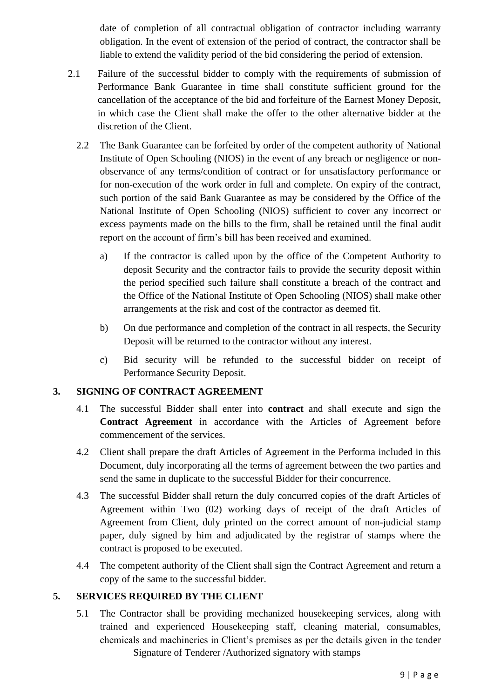date of completion of all contractual obligation of contractor including warranty obligation. In the event of extension of the period of contract, the contractor shall be liable to extend the validity period of the bid considering the period of extension.

- 2.1 Failure of the successful bidder to comply with the requirements of submission of Performance Bank Guarantee in time shall constitute sufficient ground for the cancellation of the acceptance of the bid and forfeiture of the Earnest Money Deposit, in which case the Client shall make the offer to the other alternative bidder at the discretion of the Client.
	- 2.2 The Bank Guarantee can be forfeited by order of the competent authority of National Institute of Open Schooling (NIOS) in the event of any breach or negligence or nonobservance of any terms/condition of contract or for unsatisfactory performance or for non-execution of the work order in full and complete. On expiry of the contract, such portion of the said Bank Guarantee as may be considered by the Office of the National Institute of Open Schooling (NIOS) sufficient to cover any incorrect or excess payments made on the bills to the firm, shall be retained until the final audit report on the account of firm's bill has been received and examined.
		- a) If the contractor is called upon by the office of the Competent Authority to deposit Security and the contractor fails to provide the security deposit within the period specified such failure shall constitute a breach of the contract and the Office of the National Institute of Open Schooling (NIOS) shall make other arrangements at the risk and cost of the contractor as deemed fit.
		- b) On due performance and completion of the contract in all respects, the Security Deposit will be returned to the contractor without any interest.
		- c) Bid security will be refunded to the successful bidder on receipt of Performance Security Deposit.

# **3. SIGNING OF CONTRACT AGREEMENT**

- 4.1 The successful Bidder shall enter into **contract** and shall execute and sign the **Contract Agreement** in accordance with the Articles of Agreement before commencement of the services.
- 4.2 Client shall prepare the draft Articles of Agreement in the Performa included in this Document, duly incorporating all the terms of agreement between the two parties and send the same in duplicate to the successful Bidder for their concurrence.
- 4.3 The successful Bidder shall return the duly concurred copies of the draft Articles of Agreement within Two (02) working days of receipt of the draft Articles of Agreement from Client, duly printed on the correct amount of non-judicial stamp paper, duly signed by him and adjudicated by the registrar of stamps where the contract is proposed to be executed.
- 4.4 The competent authority of the Client shall sign the Contract Agreement and return a copy of the same to the successful bidder.

# **5. SERVICES REQUIRED BY THE CLIENT**

Signature of Tenderer /Authorized signatory with stamps 5.1 The Contractor shall be providing mechanized housekeeping services, along with trained and experienced Housekeeping staff, cleaning material, consumables, chemicals and machineries in Client's premises as per the details given in the tender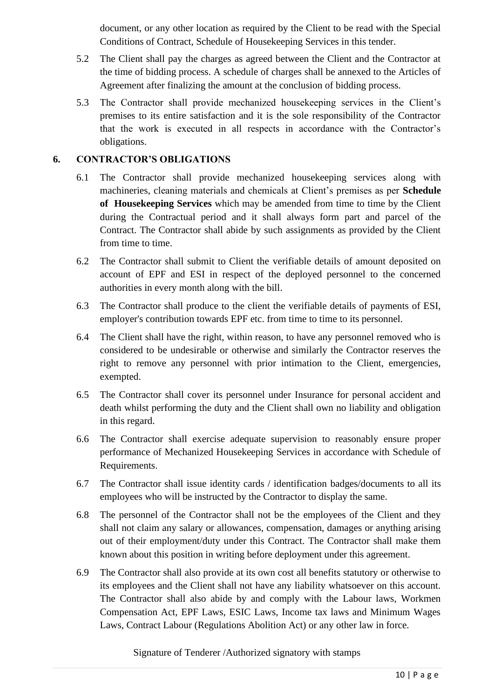document, or any other location as required by the Client to be read with the Special Conditions of Contract, Schedule of Housekeeping Services in this tender.

- 5.2 The Client shall pay the charges as agreed between the Client and the Contractor at the time of bidding process. A schedule of charges shall be annexed to the Articles of Agreement after finalizing the amount at the conclusion of bidding process.
- 5.3 The Contractor shall provide mechanized housekeeping services in the Client's premises to its entire satisfaction and it is the sole responsibility of the Contractor that the work is executed in all respects in accordance with the Contractor's obligations.

## **6. CONTRACTOR'S OBLIGATIONS**

- 6.1 The Contractor shall provide mechanized housekeeping services along with machineries, cleaning materials and chemicals at Client's premises as per **Schedule of Housekeeping Services** which may be amended from time to time by the Client during the Contractual period and it shall always form part and parcel of the Contract. The Contractor shall abide by such assignments as provided by the Client from time to time.
- 6.2 The Contractor shall submit to Client the verifiable details of amount deposited on account of EPF and ESI in respect of the deployed personnel to the concerned authorities in every month along with the bill.
- 6.3 The Contractor shall produce to the client the verifiable details of payments of ESI, employer's contribution towards EPF etc. from time to time to its personnel.
- 6.4 The Client shall have the right, within reason, to have any personnel removed who is considered to be undesirable or otherwise and similarly the Contractor reserves the right to remove any personnel with prior intimation to the Client, emergencies, exempted.
- 6.5 The Contractor shall cover its personnel under Insurance for personal accident and death whilst performing the duty and the Client shall own no liability and obligation in this regard.
- 6.6 The Contractor shall exercise adequate supervision to reasonably ensure proper performance of Mechanized Housekeeping Services in accordance with Schedule of Requirements.
- 6.7 The Contractor shall issue identity cards / identification badges/documents to all its employees who will be instructed by the Contractor to display the same.
- 6.8 The personnel of the Contractor shall not be the employees of the Client and they shall not claim any salary or allowances, compensation, damages or anything arising out of their employment/duty under this Contract. The Contractor shall make them known about this position in writing before deployment under this agreement.
- 6.9 The Contractor shall also provide at its own cost all benefits statutory or otherwise to its employees and the Client shall not have any liability whatsoever on this account. The Contractor shall also abide by and comply with the Labour laws, Workmen Compensation Act, EPF Laws, ESIC Laws, Income tax laws and Minimum Wages Laws, Contract Labour (Regulations Abolition Act) or any other law in force.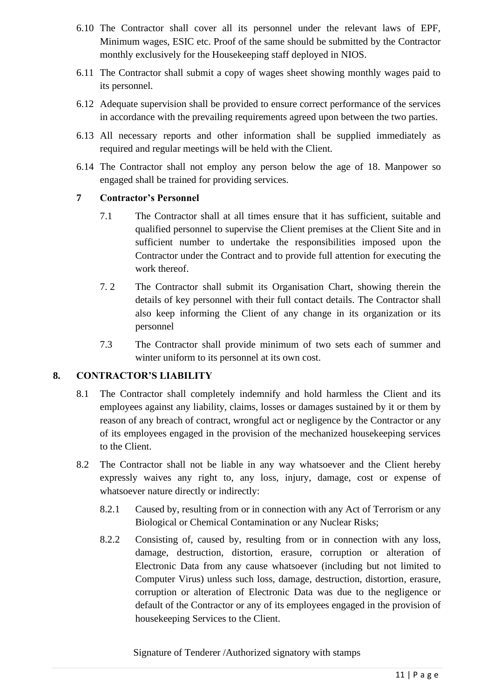- 6.10 The Contractor shall cover all its personnel under the relevant laws of EPF, Minimum wages, ESIC etc. Proof of the same should be submitted by the Contractor monthly exclusively for the Housekeeping staff deployed in NIOS.
- 6.11 The Contractor shall submit a copy of wages sheet showing monthly wages paid to its personnel.
- 6.12 Adequate supervision shall be provided to ensure correct performance of the services in accordance with the prevailing requirements agreed upon between the two parties.
- 6.13 All necessary reports and other information shall be supplied immediately as required and regular meetings will be held with the Client.
- 6.14 The Contractor shall not employ any person below the age of 18. Manpower so engaged shall be trained for providing services.

## **7 Contractor's Personnel**

- 7.1 The Contractor shall at all times ensure that it has sufficient, suitable and qualified personnel to supervise the Client premises at the Client Site and in sufficient number to undertake the responsibilities imposed upon the Contractor under the Contract and to provide full attention for executing the work thereof.
- 7. 2 The Contractor shall submit its Organisation Chart, showing therein the details of key personnel with their full contact details. The Contractor shall also keep informing the Client of any change in its organization or its personnel
- 7.3 The Contractor shall provide minimum of two sets each of summer and winter uniform to its personnel at its own cost.

### **8. CONTRACTOR'S LIABILITY**

- 8.1 The Contractor shall completely indemnify and hold harmless the Client and its employees against any liability, claims, losses or damages sustained by it or them by reason of any breach of contract, wrongful act or negligence by the Contractor or any of its employees engaged in the provision of the mechanized housekeeping services to the Client.
- 8.2 The Contractor shall not be liable in any way whatsoever and the Client hereby expressly waives any right to, any loss, injury, damage, cost or expense of whatsoever nature directly or indirectly:
	- 8.2.1 Caused by, resulting from or in connection with any Act of Terrorism or any Biological or Chemical Contamination or any Nuclear Risks;
	- 8.2.2 Consisting of, caused by, resulting from or in connection with any loss, damage, destruction, distortion, erasure, corruption or alteration of Electronic Data from any cause whatsoever (including but not limited to Computer Virus) unless such loss, damage, destruction, distortion, erasure, corruption or alteration of Electronic Data was due to the negligence or default of the Contractor or any of its employees engaged in the provision of housekeeping Services to the Client.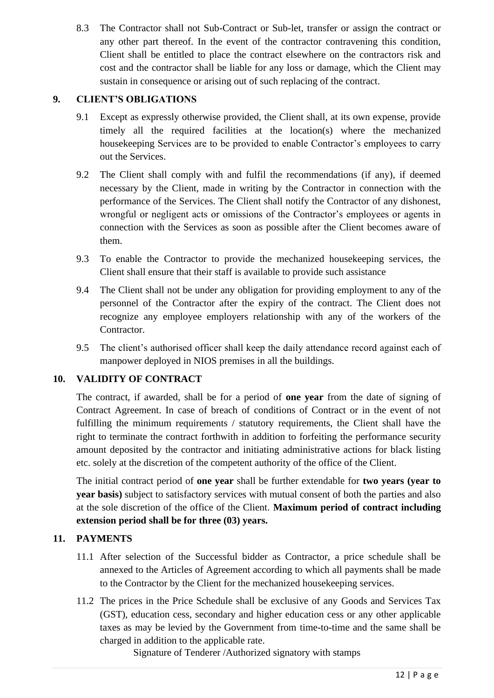8.3 The Contractor shall not Sub-Contract or Sub-let, transfer or assign the contract or any other part thereof. In the event of the contractor contravening this condition, Client shall be entitled to place the contract elsewhere on the contractors risk and cost and the contractor shall be liable for any loss or damage, which the Client may sustain in consequence or arising out of such replacing of the contract.

# **9. CLIENT'S OBLIGATIONS**

- 9.1 Except as expressly otherwise provided, the Client shall, at its own expense, provide timely all the required facilities at the location(s) where the mechanized housekeeping Services are to be provided to enable Contractor's employees to carry out the Services.
- 9.2 The Client shall comply with and fulfil the recommendations (if any), if deemed necessary by the Client, made in writing by the Contractor in connection with the performance of the Services. The Client shall notify the Contractor of any dishonest, wrongful or negligent acts or omissions of the Contractor's employees or agents in connection with the Services as soon as possible after the Client becomes aware of them.
- 9.3 To enable the Contractor to provide the mechanized housekeeping services, the Client shall ensure that their staff is available to provide such assistance
- 9.4 The Client shall not be under any obligation for providing employment to any of the personnel of the Contractor after the expiry of the contract. The Client does not recognize any employee employers relationship with any of the workers of the Contractor.
- 9.5 The client's authorised officer shall keep the daily attendance record against each of manpower deployed in NIOS premises in all the buildings.

# **10. VALIDITY OF CONTRACT**

The contract, if awarded, shall be for a period of **one year** from the date of signing of Contract Agreement. In case of breach of conditions of Contract or in the event of not fulfilling the minimum requirements / statutory requirements, the Client shall have the right to terminate the contract forthwith in addition to forfeiting the performance security amount deposited by the contractor and initiating administrative actions for black listing etc. solely at the discretion of the competent authority of the office of the Client.

The initial contract period of **one year** shall be further extendable for **two years (year to year basis)** subject to satisfactory services with mutual consent of both the parties and also at the sole discretion of the office of the Client. **Maximum period of contract including extension period shall be for three (03) years.**

# **11. PAYMENTS**

- 11.1 After selection of the Successful bidder as Contractor, a price schedule shall be annexed to the Articles of Agreement according to which all payments shall be made to the Contractor by the Client for the mechanized housekeeping services.
- 11.2 The prices in the Price Schedule shall be exclusive of any Goods and Services Tax (GST), education cess, secondary and higher education cess or any other applicable taxes as may be levied by the Government from time-to-time and the same shall be charged in addition to the applicable rate.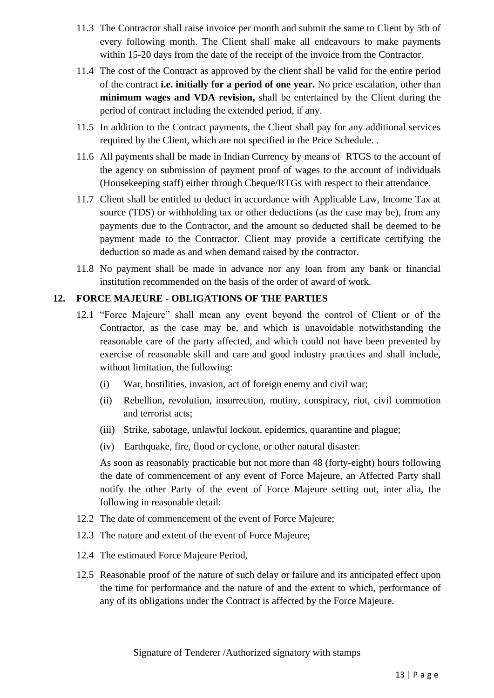- 11.3 The Contractor shall raise invoice per month and submit the same to Client by 5th of every following month. The Client shall make all endeavours to make payments within 15-20 days from the date of the receipt of the invoice from the Contractor.
- 11.4 The cost of the Contract as approved by the client shall be valid for the entire period of the contract **i.e. initially for a period of one year.** No price escalation, other than **minimum wages and VDA revision,** shall be entertained by the Client during the period of contract including the extended period, if any.
- 11.5 In addition to the Contract payments, the Client shall pay for any additional services required by the Client, which are not specified in the Price Schedule. .
- 11.6 All payments shall be made in Indian Currency by means of RTGS to the account of the agency on submission of payment proof of wages to the account of individuals (Housekeeping staff) either through Cheque/RTGs with respect to their attendance.
- 11.7 Client shall be entitled to deduct in accordance with Applicable Law, Income Tax at source (TDS) or withholding tax or other deductions (as the case may be), from any payments due to the Contractor, and the amount so deducted shall be deemed to be payment made to the Contractor. Client may provide a certificate certifying the deduction so made as and when demand raised by the contractor.
- 11.8 No payment shall be made in advance nor any loan from any bank or financial institution recommended on the basis of the order of award of work.

## **12. FORCE MAJEURE - OBLIGATIONS OF THE PARTIES**

- 12.1 "Force Majeure" shall mean any event beyond the control of Client or of the Contractor, as the case may be, and which is unavoidable notwithstanding the reasonable care of the party affected, and which could not have been prevented by exercise of reasonable skill and care and good industry practices and shall include, without limitation, the following:
	- (i) War, hostilities, invasion, act of foreign enemy and civil war;
	- (ii) Rebellion, revolution, insurrection, mutiny, conspiracy, riot, civil commotion and terrorist acts;
	- (iii) Strike, sabotage, unlawful lockout, epidemics, quarantine and plague;
	- (iv) Earthquake, fire, flood or cyclone, or other natural disaster.

As soon as reasonably practicable but not more than 48 (forty-eight) hours following the date of commencement of any event of Force Majeure, an Affected Party shall notify the other Party of the event of Force Majeure setting out, inter alia, the following in reasonable detail:

- 12.2 The date of commencement of the event of Force Majeure;
- 12.3 The nature and extent of the event of Force Majeure;
- 12.4 The estimated Force Majeure Period,
- 12.5 Reasonable proof of the nature of such delay or failure and its anticipated effect upon the time for performance and the nature of and the extent to which, performance of any of its obligations under the Contract is affected by the Force Majeure.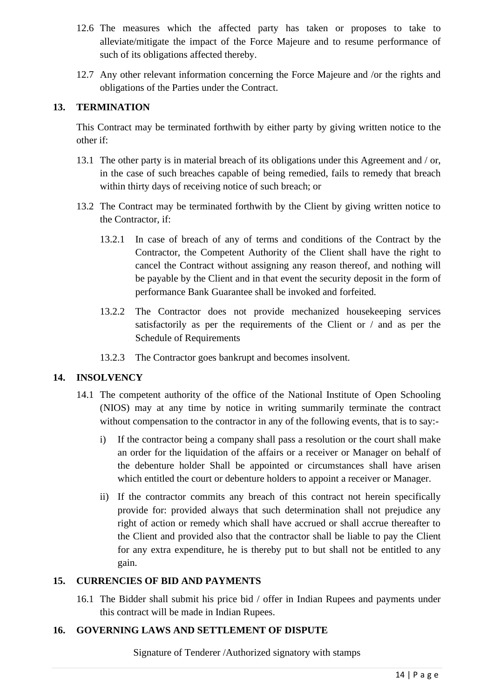- 12.6 The measures which the affected party has taken or proposes to take to alleviate/mitigate the impact of the Force Majeure and to resume performance of such of its obligations affected thereby.
- 12.7 Any other relevant information concerning the Force Majeure and /or the rights and obligations of the Parties under the Contract.

# **13. TERMINATION**

This Contract may be terminated forthwith by either party by giving written notice to the other if:

- 13.1 The other party is in material breach of its obligations under this Agreement and / or, in the case of such breaches capable of being remedied, fails to remedy that breach within thirty days of receiving notice of such breach; or
- 13.2 The Contract may be terminated forthwith by the Client by giving written notice to the Contractor, if:
	- 13.2.1 In case of breach of any of terms and conditions of the Contract by the Contractor, the Competent Authority of the Client shall have the right to cancel the Contract without assigning any reason thereof, and nothing will be payable by the Client and in that event the security deposit in the form of performance Bank Guarantee shall be invoked and forfeited.
	- 13.2.2 The Contractor does not provide mechanized housekeeping services satisfactorily as per the requirements of the Client or / and as per the Schedule of Requirements
	- 13.2.3 The Contractor goes bankrupt and becomes insolvent.

### **14. INSOLVENCY**

- 14.1 The competent authority of the office of the National Institute of Open Schooling (NIOS) may at any time by notice in writing summarily terminate the contract without compensation to the contractor in any of the following events, that is to say:
	- i) If the contractor being a company shall pass a resolution or the court shall make an order for the liquidation of the affairs or a receiver or Manager on behalf of the debenture holder Shall be appointed or circumstances shall have arisen which entitled the court or debenture holders to appoint a receiver or Manager.
	- ii) If the contractor commits any breach of this contract not herein specifically provide for: provided always that such determination shall not prejudice any right of action or remedy which shall have accrued or shall accrue thereafter to the Client and provided also that the contractor shall be liable to pay the Client for any extra expenditure, he is thereby put to but shall not be entitled to any gain.

### **15. CURRENCIES OF BID AND PAYMENTS**

16.1 The Bidder shall submit his price bid / offer in Indian Rupees and payments under this contract will be made in Indian Rupees.

### **16. GOVERNING LAWS AND SETTLEMENT OF DISPUTE**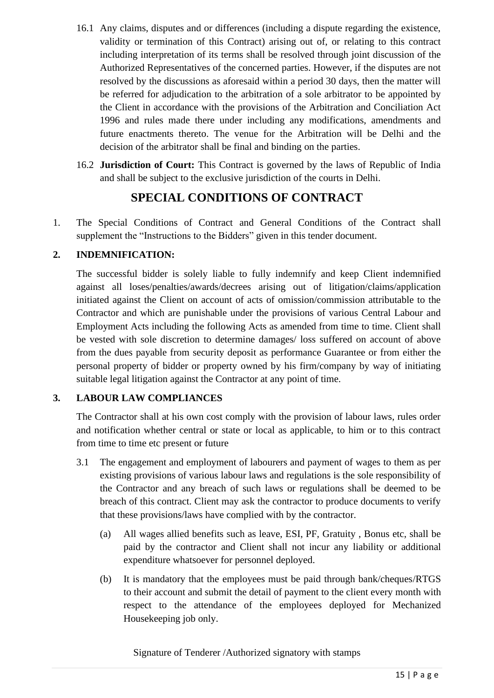- 16.1 Any claims, disputes and or differences (including a dispute regarding the existence, validity or termination of this Contract) arising out of, or relating to this contract including interpretation of its terms shall be resolved through joint discussion of the Authorized Representatives of the concerned parties. However, if the disputes are not resolved by the discussions as aforesaid within a period 30 days, then the matter will be referred for adjudication to the arbitration of a sole arbitrator to be appointed by the Client in accordance with the provisions of the Arbitration and Conciliation Act 1996 and rules made there under including any modifications, amendments and future enactments thereto. The venue for the Arbitration will be Delhi and the decision of the arbitrator shall be final and binding on the parties.
- 16.2 **Jurisdiction of Court:** This Contract is governed by the laws of Republic of India and shall be subject to the exclusive jurisdiction of the courts in Delhi.

# **SPECIAL CONDITIONS OF CONTRACT**

1. The Special Conditions of Contract and General Conditions of the Contract shall supplement the "Instructions to the Bidders" given in this tender document.

# **2. INDEMNIFICATION:**

The successful bidder is solely liable to fully indemnify and keep Client indemnified against all loses/penalties/awards/decrees arising out of litigation/claims/application initiated against the Client on account of acts of omission/commission attributable to the Contractor and which are punishable under the provisions of various Central Labour and Employment Acts including the following Acts as amended from time to time. Client shall be vested with sole discretion to determine damages/ loss suffered on account of above from the dues payable from security deposit as performance Guarantee or from either the personal property of bidder or property owned by his firm/company by way of initiating suitable legal litigation against the Contractor at any point of time.

# **3. LABOUR LAW COMPLIANCES**

The Contractor shall at his own cost comply with the provision of labour laws, rules order and notification whether central or state or local as applicable, to him or to this contract from time to time etc present or future

- 3.1 The engagement and employment of labourers and payment of wages to them as per existing provisions of various labour laws and regulations is the sole responsibility of the Contractor and any breach of such laws or regulations shall be deemed to be breach of this contract. Client may ask the contractor to produce documents to verify that these provisions/laws have complied with by the contractor.
	- (a) All wages allied benefits such as leave, ESI, PF, Gratuity , Bonus etc, shall be paid by the contractor and Client shall not incur any liability or additional expenditure whatsoever for personnel deployed.
	- (b) It is mandatory that the employees must be paid through bank/cheques/RTGS to their account and submit the detail of payment to the client every month with respect to the attendance of the employees deployed for Mechanized Housekeeping job only.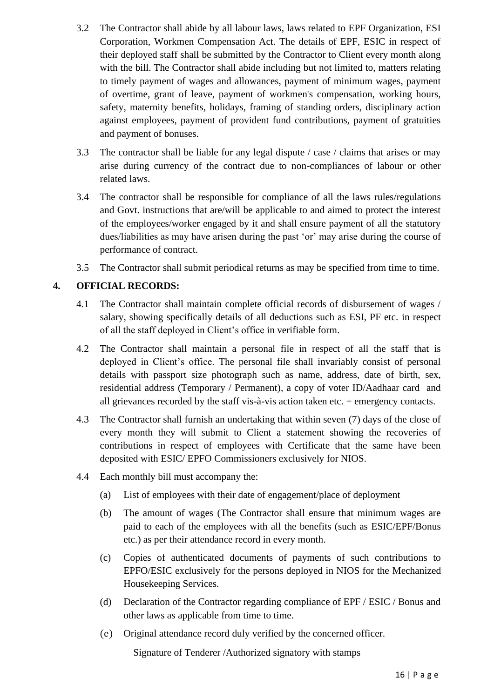- 3.2 The Contractor shall abide by all labour laws, laws related to EPF Organization, ESI Corporation, Workmen Compensation Act. The details of EPF, ESIC in respect of their deployed staff shall be submitted by the Contractor to Client every month along with the bill. The Contractor shall abide including but not limited to, matters relating to timely payment of wages and allowances, payment of minimum wages, payment of overtime, grant of leave, payment of workmen's compensation, working hours, safety, maternity benefits, holidays, framing of standing orders, disciplinary action against employees, payment of provident fund contributions, payment of gratuities and payment of bonuses.
- 3.3 The contractor shall be liable for any legal dispute / case / claims that arises or may arise during currency of the contract due to non-compliances of labour or other related laws.
- 3.4 The contractor shall be responsible for compliance of all the laws rules/regulations and Govt. instructions that are/will be applicable to and aimed to protect the interest of the employees/worker engaged by it and shall ensure payment of all the statutory dues/liabilities as may have arisen during the past 'or' may arise during the course of performance of contract.
- 3.5 The Contractor shall submit periodical returns as may be specified from time to time.

# **4. OFFICIAL RECORDS:**

- 4.1 The Contractor shall maintain complete official records of disbursement of wages / salary, showing specifically details of all deductions such as ESI, PF etc. in respect of all the staff deployed in Client's office in verifiable form.
- 4.2 The Contractor shall maintain a personal file in respect of all the staff that is deployed in Client's office. The personal file shall invariably consist of personal details with passport size photograph such as name, address, date of birth, sex, residential address (Temporary / Permanent), a copy of voter ID/Aadhaar card and all grievances recorded by the staff vis-à-vis action taken etc. + emergency contacts.
- 4.3 The Contractor shall furnish an undertaking that within seven (7) days of the close of every month they will submit to Client a statement showing the recoveries of contributions in respect of employees with Certificate that the same have been deposited with ESIC/ EPFO Commissioners exclusively for NIOS.
- 4.4 Each monthly bill must accompany the:
	- (a) List of employees with their date of engagement/place of deployment
	- (b) The amount of wages (The Contractor shall ensure that minimum wages are paid to each of the employees with all the benefits (such as ESIC/EPF/Bonus etc.) as per their attendance record in every month.
	- (c) Copies of authenticated documents of payments of such contributions to EPFO/ESIC exclusively for the persons deployed in NIOS for the Mechanized Housekeeping Services.
	- (d) Declaration of the Contractor regarding compliance of EPF / ESIC / Bonus and other laws as applicable from time to time.
	- (e) Original attendance record duly verified by the concerned officer.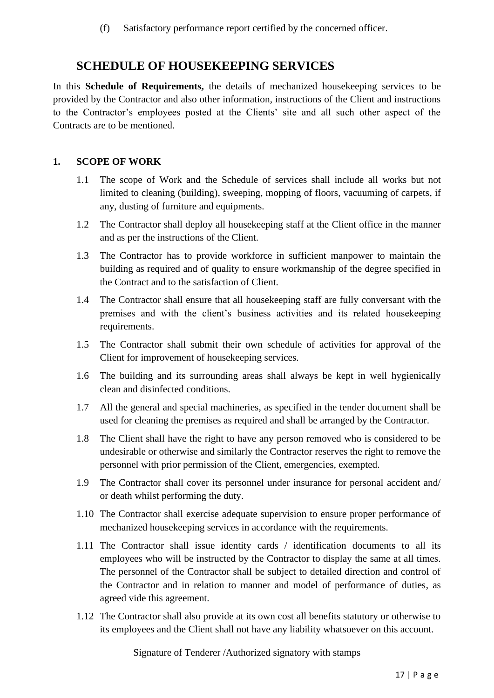(f) Satisfactory performance report certified by the concerned officer.

# **SCHEDULE OF HOUSEKEEPING SERVICES**

In this **Schedule of Requirements,** the details of mechanized housekeeping services to be provided by the Contractor and also other information, instructions of the Client and instructions to the Contractor's employees posted at the Clients' site and all such other aspect of the Contracts are to be mentioned.

# **1. SCOPE OF WORK**

- 1.1 The scope of Work and the Schedule of services shall include all works but not limited to cleaning (building), sweeping, mopping of floors, vacuuming of carpets, if any, dusting of furniture and equipments.
- 1.2 The Contractor shall deploy all housekeeping staff at the Client office in the manner and as per the instructions of the Client.
- 1.3 The Contractor has to provide workforce in sufficient manpower to maintain the building as required and of quality to ensure workmanship of the degree specified in the Contract and to the satisfaction of Client.
- 1.4 The Contractor shall ensure that all housekeeping staff are fully conversant with the premises and with the client's business activities and its related housekeeping requirements.
- 1.5 The Contractor shall submit their own schedule of activities for approval of the Client for improvement of housekeeping services.
- 1.6 The building and its surrounding areas shall always be kept in well hygienically clean and disinfected conditions.
- 1.7 All the general and special machineries, as specified in the tender document shall be used for cleaning the premises as required and shall be arranged by the Contractor.
- 1.8 The Client shall have the right to have any person removed who is considered to be undesirable or otherwise and similarly the Contractor reserves the right to remove the personnel with prior permission of the Client, emergencies, exempted.
- 1.9 The Contractor shall cover its personnel under insurance for personal accident and/ or death whilst performing the duty.
- 1.10 The Contractor shall exercise adequate supervision to ensure proper performance of mechanized housekeeping services in accordance with the requirements.
- 1.11 The Contractor shall issue identity cards / identification documents to all its employees who will be instructed by the Contractor to display the same at all times. The personnel of the Contractor shall be subject to detailed direction and control of the Contractor and in relation to manner and model of performance of duties, as agreed vide this agreement.
- 1.12 The Contractor shall also provide at its own cost all benefits statutory or otherwise to its employees and the Client shall not have any liability whatsoever on this account.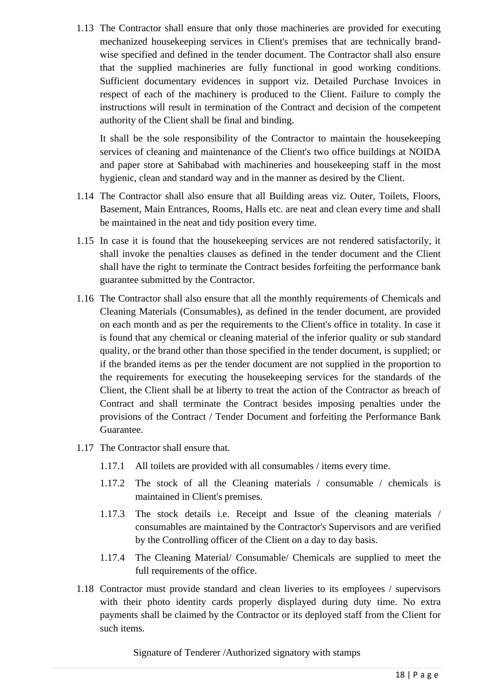1.13 The Contractor shall ensure that only those machineries are provided for executing mechanized housekeeping services in Client's premises that are technically brandwise specified and defined in the tender document. The Contractor shall also ensure that the supplied machineries are fully functional in good working conditions. Sufficient documentary evidences in support viz. Detailed Purchase Invoices in respect of each of the machinery is produced to the Client. Failure to comply the instructions will result in termination of the Contract and decision of the competent authority of the Client shall be final and binding.

It shall be the sole responsibility of the Contractor to maintain the housekeeping services of cleaning and maintenance of the Client's two office buildings at NOIDA and paper store at Sahibabad with machineries and housekeeping staff in the most hygienic, clean and standard way and in the manner as desired by the Client.

- 1.14 The Contractor shall also ensure that all Building areas viz. Outer, Toilets, Floors, Basement, Main Entrances, Rooms, Halls etc. are neat and clean every time and shall be maintained in the neat and tidy position every time.
- 1.15 In case it is found that the housekeeping services are not rendered satisfactorily, it shall invoke the penalties clauses as defined in the tender document and the Client shall have the right to terminate the Contract besides forfeiting the performance bank guarantee submitted by the Contractor.
- 1.16 The Contractor shall also ensure that all the monthly requirements of Chemicals and Cleaning Materials (Consumables), as defined in the tender document, are provided on each month and as per the requirements to the Client's office in totality. In case it is found that any chemical or cleaning material of the inferior quality or sub standard quality, or the brand other than those specified in the tender document, is supplied; or if the branded items as per the tender document are not supplied in the proportion to the requirements for executing the housekeeping services for the standards of the Client, the Client shall be at liberty to treat the action of the Contractor as breach of Contract and shall terminate the Contract besides imposing penalties under the provisions of the Contract / Tender Document and forfeiting the Performance Bank Guarantee.
- 1.17 The Contractor shall ensure that.
	- 1.17.1 All toilets are provided with all consumables / items every time.
	- 1.17.2 The stock of all the Cleaning materials / consumable / chemicals is maintained in Client's premises.
	- 1.17.3 The stock details i.e. Receipt and Issue of the cleaning materials / consumables are maintained by the Contractor's Supervisors and are verified by the Controlling officer of the Client on a day to day basis.
	- 1.17.4 The Cleaning Material/ Consumable/ Chemicals are supplied to meet the full requirements of the office.
- 1.18 Contractor must provide standard and clean liveries to its employees / supervisors with their photo identity cards properly displayed during duty time. No extra payments shall be claimed by the Contractor or its deployed staff from the Client for such items.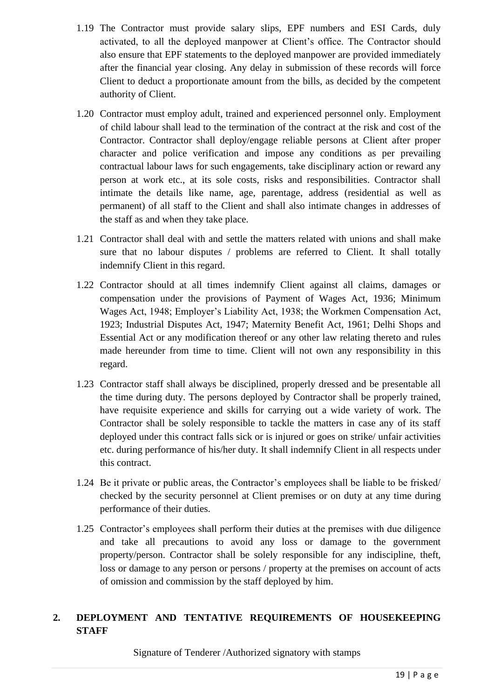- 1.19 The Contractor must provide salary slips, EPF numbers and ESI Cards, duly activated, to all the deployed manpower at Client's office. The Contractor should also ensure that EPF statements to the deployed manpower are provided immediately after the financial year closing. Any delay in submission of these records will force Client to deduct a proportionate amount from the bills, as decided by the competent authority of Client.
- 1.20 Contractor must employ adult, trained and experienced personnel only. Employment of child labour shall lead to the termination of the contract at the risk and cost of the Contractor. Contractor shall deploy/engage reliable persons at Client after proper character and police verification and impose any conditions as per prevailing contractual labour laws for such engagements, take disciplinary action or reward any person at work etc., at its sole costs, risks and responsibilities. Contractor shall intimate the details like name, age, parentage, address (residential as well as permanent) of all staff to the Client and shall also intimate changes in addresses of the staff as and when they take place.
- 1.21 Contractor shall deal with and settle the matters related with unions and shall make sure that no labour disputes / problems are referred to Client. It shall totally indemnify Client in this regard.
- 1.22 Contractor should at all times indemnify Client against all claims, damages or compensation under the provisions of Payment of Wages Act, 1936; Minimum Wages Act, 1948; Employer's Liability Act, 1938; the Workmen Compensation Act, 1923; Industrial Disputes Act, 1947; Maternity Benefit Act, 1961; Delhi Shops and Essential Act or any modification thereof or any other law relating thereto and rules made hereunder from time to time. Client will not own any responsibility in this regard.
- 1.23 Contractor staff shall always be disciplined, properly dressed and be presentable all the time during duty. The persons deployed by Contractor shall be properly trained, have requisite experience and skills for carrying out a wide variety of work. The Contractor shall be solely responsible to tackle the matters in case any of its staff deployed under this contract falls sick or is injured or goes on strike/ unfair activities etc. during performance of his/her duty. It shall indemnify Client in all respects under this contract.
- 1.24 Be it private or public areas, the Contractor's employees shall be liable to be frisked/ checked by the security personnel at Client premises or on duty at any time during performance of their duties.
- 1.25 Contractor's employees shall perform their duties at the premises with due diligence and take all precautions to avoid any loss or damage to the government property/person. Contractor shall be solely responsible for any indiscipline, theft, loss or damage to any person or persons / property at the premises on account of acts of omission and commission by the staff deployed by him.

# **2. DEPLOYMENT AND TENTATIVE REQUIREMENTS OF HOUSEKEEPING STAFF**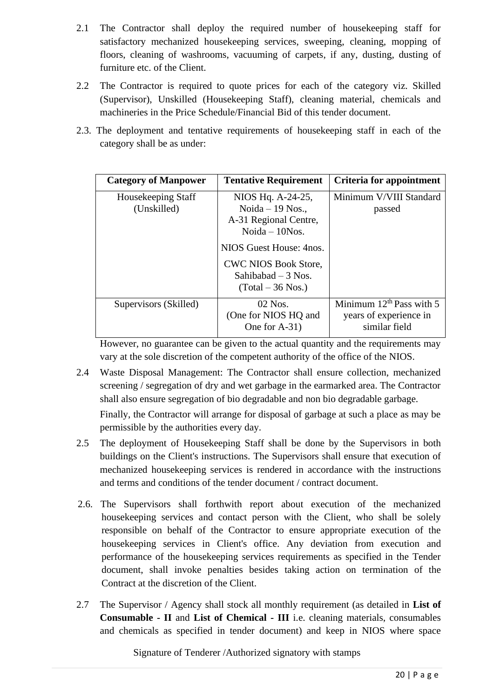- 2.1 The Contractor shall deploy the required number of housekeeping staff for satisfactory mechanized housekeeping services, sweeping, cleaning, mopping of floors, cleaning of washrooms, vacuuming of carpets, if any, dusting, dusting of furniture etc. of the Client.
- 2.2 The Contractor is required to quote prices for each of the category viz. Skilled (Supervisor), Unskilled (Housekeeping Staff), cleaning material, chemicals and machineries in the Price Schedule/Financial Bid of this tender document.
- 2.3. The deployment and tentative requirements of housekeeping staff in each of the category shall be as under:

| <b>Category of Manpower</b>       | <b>Tentative Requirement</b>                                                        | <b>Criteria for appointment</b>                                          |
|-----------------------------------|-------------------------------------------------------------------------------------|--------------------------------------------------------------------------|
| Housekeeping Staff<br>(Unskilled) | NIOS Hq. A-24-25,<br>Noida $-19$ Nos.,<br>A-31 Regional Centre,<br>Noida $-10$ Nos. | Minimum V/VIII Standard<br>passed                                        |
|                                   | NIOS Guest House: 4nos.<br><b>CWC NIOS Book Store,</b><br>Sahibabad $-3$ Nos.       |                                                                          |
|                                   | (Total – 36 Nos.)                                                                   |                                                                          |
| Supervisors (Skilled)             | $02$ Nos.<br>(One for NIOS HQ and<br>One for A-31)                                  | Minimum $12^{th}$ Pass with 5<br>years of experience in<br>similar field |

However, no guarantee can be given to the actual quantity and the requirements may vary at the sole discretion of the competent authority of the office of the NIOS.

2.4 Waste Disposal Management: The Contractor shall ensure collection, mechanized screening / segregation of dry and wet garbage in the earmarked area. The Contractor shall also ensure segregation of bio degradable and non bio degradable garbage.

Finally, the Contractor will arrange for disposal of garbage at such a place as may be permissible by the authorities every day.

- 2.5 The deployment of Housekeeping Staff shall be done by the Supervisors in both buildings on the Client's instructions. The Supervisors shall ensure that execution of mechanized housekeeping services is rendered in accordance with the instructions and terms and conditions of the tender document / contract document.
- 2.6. The Supervisors shall forthwith report about execution of the mechanized housekeeping services and contact person with the Client, who shall be solely responsible on behalf of the Contractor to ensure appropriate execution of the housekeeping services in Client's office. Any deviation from execution and performance of the housekeeping services requirements as specified in the Tender document, shall invoke penalties besides taking action on termination of the Contract at the discretion of the Client.
- 2.7 The Supervisor / Agency shall stock all monthly requirement (as detailed in **List of Consumable - II** and **List of Chemical - III** i.e. cleaning materials, consumables and chemicals as specified in tender document) and keep in NIOS where space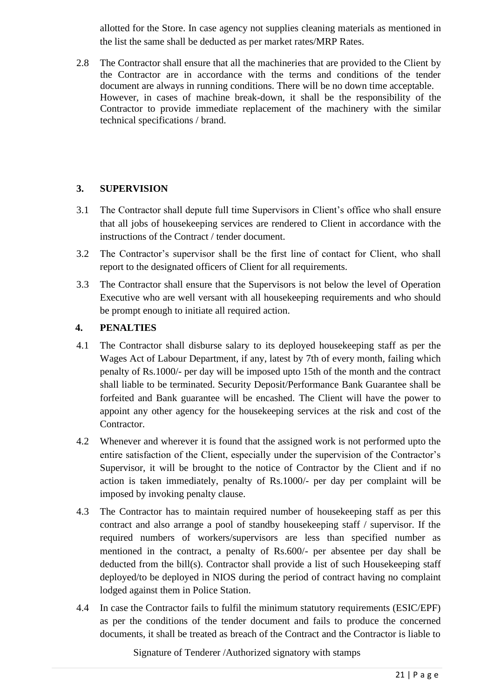allotted for the Store. In case agency not supplies cleaning materials as mentioned in the list the same shall be deducted as per market rates/MRP Rates.

2.8 The Contractor shall ensure that all the machineries that are provided to the Client by the Contractor are in accordance with the terms and conditions of the tender document are always in running conditions. There will be no down time acceptable. However, in cases of machine break-down, it shall be the responsibility of the Contractor to provide immediate replacement of the machinery with the similar technical specifications / brand.

# **3. SUPERVISION**

- 3.1 The Contractor shall depute full time Supervisors in Client's office who shall ensure that all jobs of housekeeping services are rendered to Client in accordance with the instructions of the Contract / tender document.
- 3.2 The Contractor's supervisor shall be the first line of contact for Client, who shall report to the designated officers of Client for all requirements.
- 3.3 The Contractor shall ensure that the Supervisors is not below the level of Operation Executive who are well versant with all housekeeping requirements and who should be prompt enough to initiate all required action.

# **4. PENALTIES**

- 4.1 The Contractor shall disburse salary to its deployed housekeeping staff as per the Wages Act of Labour Department, if any, latest by 7th of every month, failing which penalty of Rs.1000/- per day will be imposed upto 15th of the month and the contract shall liable to be terminated. Security Deposit/Performance Bank Guarantee shall be forfeited and Bank guarantee will be encashed. The Client will have the power to appoint any other agency for the housekeeping services at the risk and cost of the Contractor.
- 4.2 Whenever and wherever it is found that the assigned work is not performed upto the entire satisfaction of the Client, especially under the supervision of the Contractor's Supervisor, it will be brought to the notice of Contractor by the Client and if no action is taken immediately, penalty of Rs.1000/- per day per complaint will be imposed by invoking penalty clause.
- 4.3 The Contractor has to maintain required number of housekeeping staff as per this contract and also arrange a pool of standby housekeeping staff / supervisor. If the required numbers of workers/supervisors are less than specified number as mentioned in the contract, a penalty of Rs.600/- per absentee per day shall be deducted from the bill(s). Contractor shall provide a list of such Housekeeping staff deployed/to be deployed in NIOS during the period of contract having no complaint lodged against them in Police Station.
- 4.4 In case the Contractor fails to fulfil the minimum statutory requirements (ESIC/EPF) as per the conditions of the tender document and fails to produce the concerned documents, it shall be treated as breach of the Contract and the Contractor is liable to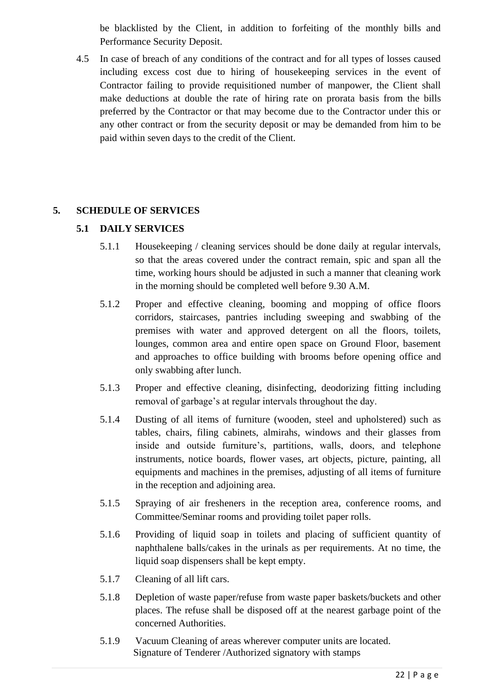be blacklisted by the Client, in addition to forfeiting of the monthly bills and Performance Security Deposit.

4.5 In case of breach of any conditions of the contract and for all types of losses caused including excess cost due to hiring of housekeeping services in the event of Contractor failing to provide requisitioned number of manpower, the Client shall make deductions at double the rate of hiring rate on prorata basis from the bills preferred by the Contractor or that may become due to the Contractor under this or any other contract or from the security deposit or may be demanded from him to be paid within seven days to the credit of the Client.

## **5. SCHEDULE OF SERVICES**

## **5.1 DAILY SERVICES**

- 5.1.1 Housekeeping / cleaning services should be done daily at regular intervals, so that the areas covered under the contract remain, spic and span all the time, working hours should be adjusted in such a manner that cleaning work in the morning should be completed well before 9.30 A.M.
- 5.1.2 Proper and effective cleaning, booming and mopping of office floors corridors, staircases, pantries including sweeping and swabbing of the premises with water and approved detergent on all the floors, toilets, lounges, common area and entire open space on Ground Floor, basement and approaches to office building with brooms before opening office and only swabbing after lunch.
- 5.1.3 Proper and effective cleaning, disinfecting, deodorizing fitting including removal of garbage's at regular intervals throughout the day.
- 5.1.4 Dusting of all items of furniture (wooden, steel and upholstered) such as tables, chairs, filing cabinets, almirahs, windows and their glasses from inside and outside furniture's, partitions, walls, doors, and telephone instruments, notice boards, flower vases, art objects, picture, painting, all equipments and machines in the premises, adjusting of all items of furniture in the reception and adjoining area.
- 5.1.5 Spraying of air fresheners in the reception area, conference rooms, and Committee/Seminar rooms and providing toilet paper rolls.
- 5.1.6 Providing of liquid soap in toilets and placing of sufficient quantity of naphthalene balls/cakes in the urinals as per requirements. At no time, the liquid soap dispensers shall be kept empty.
- 5.1.7 Cleaning of all lift cars.
- 5.1.8 Depletion of waste paper/refuse from waste paper baskets/buckets and other places. The refuse shall be disposed off at the nearest garbage point of the concerned Authorities.
- Signature of Tenderer /Authorized signatory with stamps 5.1.9 Vacuum Cleaning of areas wherever computer units are located.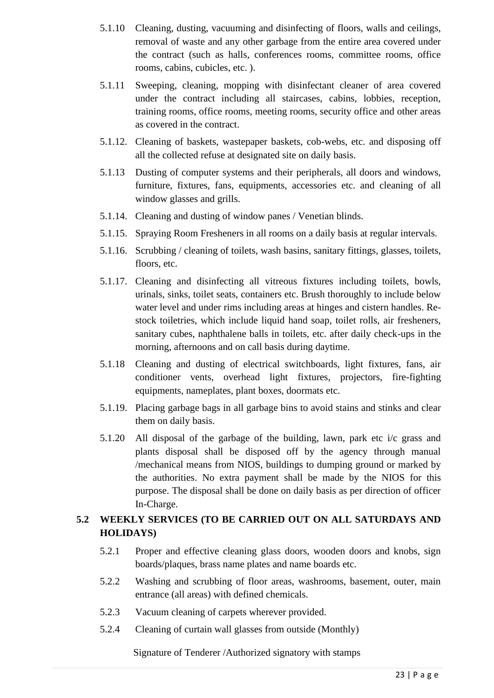- 5.1.10 Cleaning, dusting, vacuuming and disinfecting of floors, walls and ceilings, removal of waste and any other garbage from the entire area covered under the contract (such as halls, conferences rooms, committee rooms, office rooms, cabins, cubicles, etc. ).
- 5.1.11 Sweeping, cleaning, mopping with disinfectant cleaner of area covered under the contract including all staircases, cabins, lobbies, reception, training rooms, office rooms, meeting rooms, security office and other areas as covered in the contract.
- 5.1.12. Cleaning of baskets, wastepaper baskets, cob-webs, etc. and disposing off all the collected refuse at designated site on daily basis.
- 5.1.13 Dusting of computer systems and their peripherals, all doors and windows, furniture, fixtures, fans, equipments, accessories etc. and cleaning of all window glasses and grills.
- 5.1.14. Cleaning and dusting of window panes / Venetian blinds.
- 5.1.15. Spraying Room Fresheners in all rooms on a daily basis at regular intervals.
- 5.1.16. Scrubbing / cleaning of toilets, wash basins, sanitary fittings, glasses, toilets, floors, etc.
- 5.1.17. Cleaning and disinfecting all vitreous fixtures including toilets, bowls, urinals, sinks, toilet seats, containers etc. Brush thoroughly to include below water level and under rims including areas at hinges and cistern handles. Restock toiletries, which include liquid hand soap, toilet rolls, air fresheners, sanitary cubes, naphthalene balls in toilets, etc. after daily check-ups in the morning, afternoons and on call basis during daytime.
- 5.1.18 Cleaning and dusting of electrical switchboards, light fixtures, fans, air conditioner vents, overhead light fixtures, projectors, fire-fighting equipments, nameplates, plant boxes, doormats etc.
- 5.1.19. Placing garbage bags in all garbage bins to avoid stains and stinks and clear them on daily basis.
- 5.1.20 All disposal of the garbage of the building, lawn, park etc i/c grass and plants disposal shall be disposed off by the agency through manual /mechanical means from NIOS, buildings to dumping ground or marked by the authorities. No extra payment shall be made by the NIOS for this purpose. The disposal shall be done on daily basis as per direction of officer In-Charge.

# **5.2 WEEKLY SERVICES (TO BE CARRIED OUT ON ALL SATURDAYS AND HOLIDAYS)**

- 5.2.1 Proper and effective cleaning glass doors, wooden doors and knobs, sign boards/plaques, brass name plates and name boards etc.
- 5.2.2 Washing and scrubbing of floor areas, washrooms, basement, outer, main entrance (all areas) with defined chemicals.
- 5.2.3 Vacuum cleaning of carpets wherever provided.
- 5.2.4 Cleaning of curtain wall glasses from outside (Monthly)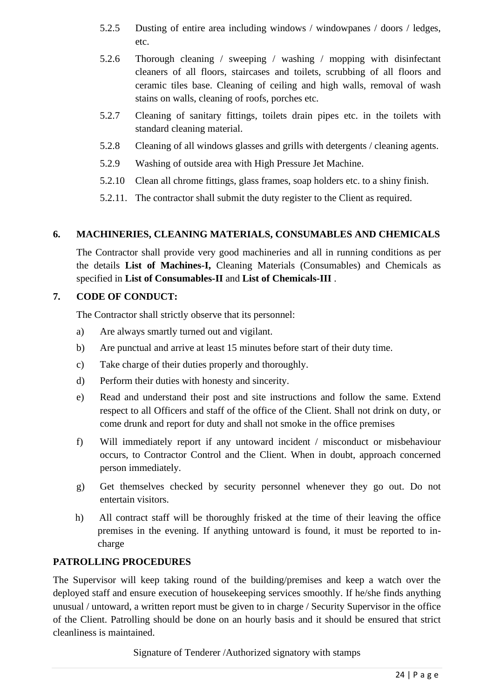- 5.2.5 Dusting of entire area including windows / windowpanes / doors / ledges, etc.
- 5.2.6 Thorough cleaning / sweeping / washing / mopping with disinfectant cleaners of all floors, staircases and toilets, scrubbing of all floors and ceramic tiles base. Cleaning of ceiling and high walls, removal of wash stains on walls, cleaning of roofs, porches etc.
- 5.2.7 Cleaning of sanitary fittings, toilets drain pipes etc. in the toilets with standard cleaning material.
- 5.2.8 Cleaning of all windows glasses and grills with detergents / cleaning agents.
- 5.2.9 Washing of outside area with High Pressure Jet Machine.
- 5.2.10 Clean all chrome fittings, glass frames, soap holders etc. to a shiny finish.
- 5.2.11. The contractor shall submit the duty register to the Client as required.

### **6. MACHINERIES, CLEANING MATERIALS, CONSUMABLES AND CHEMICALS**

The Contractor shall provide very good machineries and all in running conditions as per the details **List of Machines-I,** Cleaning Materials (Consumables) and Chemicals as specified in **List of Consumables-II** and **List of Chemicals-III** .

### **7. CODE OF CONDUCT:**

The Contractor shall strictly observe that its personnel:

- a) Are always smartly turned out and vigilant.
- b) Are punctual and arrive at least 15 minutes before start of their duty time.
- c) Take charge of their duties properly and thoroughly.
- d) Perform their duties with honesty and sincerity.
- e) Read and understand their post and site instructions and follow the same. Extend respect to all Officers and staff of the office of the Client. Shall not drink on duty, or come drunk and report for duty and shall not smoke in the office premises
- f) Will immediately report if any untoward incident / misconduct or misbehaviour occurs, to Contractor Control and the Client. When in doubt, approach concerned person immediately.
- g) Get themselves checked by security personnel whenever they go out. Do not entertain visitors.
- h) All contract staff will be thoroughly frisked at the time of their leaving the office premises in the evening. If anything untoward is found, it must be reported to incharge

### **PATROLLING PROCEDURES**

The Supervisor will keep taking round of the building/premises and keep a watch over the deployed staff and ensure execution of housekeeping services smoothly. If he/she finds anything unusual / untoward, a written report must be given to in charge / Security Supervisor in the office of the Client. Patrolling should be done on an hourly basis and it should be ensured that strict cleanliness is maintained.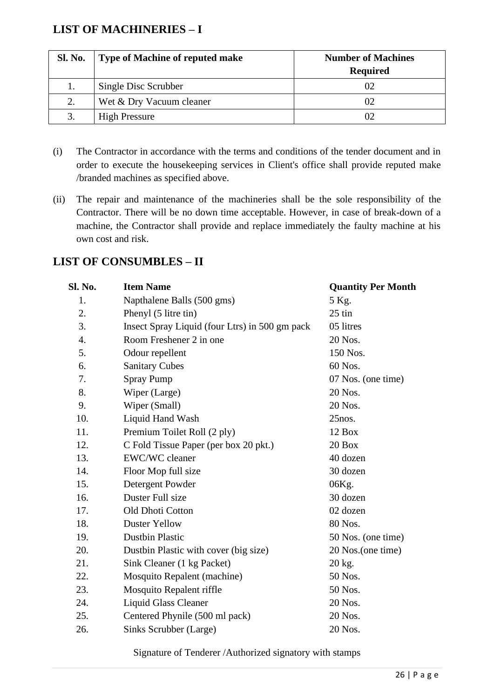# **LIST OF MACHINERIES – I**

| Sl. No. | <b>Type of Machine of reputed make</b> | <b>Number of Machines</b><br><b>Required</b> |
|---------|----------------------------------------|----------------------------------------------|
|         | Single Disc Scrubber                   | 02                                           |
| 2.      | Wet & Dry Vacuum cleaner               | 02                                           |
| 3.      | <b>High Pressure</b>                   | 02                                           |

- (i) The Contractor in accordance with the terms and conditions of the tender document and in order to execute the housekeeping services in Client's office shall provide reputed make /branded machines as specified above.
- (ii) The repair and maintenance of the machineries shall be the sole responsibility of the Contractor. There will be no down time acceptable. However, in case of break-down of a machine, the Contractor shall provide and replace immediately the faulty machine at his own cost and risk.

# **LIST OF CONSUMBLES – II**

| Sl. No. | <b>Item Name</b>                               | <b>Quantity Per Month</b> |
|---------|------------------------------------------------|---------------------------|
| 1.      | Napthalene Balls (500 gms)                     | 5 Kg.                     |
| 2.      | Phenyl (5 litre tin)                           | $25$ tin                  |
| 3.      | Insect Spray Liquid (four Ltrs) in 500 gm pack | 05 litres                 |
| 4.      | Room Freshener 2 in one                        | 20 Nos.                   |
| 5.      | Odour repellent                                | 150 Nos.                  |
| 6.      | <b>Sanitary Cubes</b>                          | 60 Nos.                   |
| 7.      | <b>Spray Pump</b>                              | 07 Nos. (one time)        |
| 8.      | Wiper (Large)                                  | 20 Nos.                   |
| 9.      | Wiper (Small)                                  | 20 Nos.                   |
| 10.     | Liquid Hand Wash                               | $25$ nos.                 |
| 11.     | Premium Toilet Roll (2 ply)                    | 12 Box                    |
| 12.     | C Fold Tissue Paper (per box 20 pkt.)          | 20 Box                    |
| 13.     | EWC/WC cleaner                                 | 40 dozen                  |
| 14.     | Floor Mop full size                            | 30 dozen                  |
| 15.     | Detergent Powder                               | 06Kg.                     |
| 16.     | Duster Full size                               | 30 dozen                  |
| 17.     | Old Dhoti Cotton                               | 02 dozen                  |
| 18.     | <b>Duster Yellow</b>                           | 80 Nos.                   |
| 19.     | <b>Dustbin Plastic</b>                         | 50 Nos. (one time)        |
| 20.     | Dustbin Plastic with cover (big size)          | 20 Nos. (one time)        |
| 21.     | Sink Cleaner (1 kg Packet)                     | 20 kg.                    |
| 22.     | Mosquito Repalent (machine)                    | 50 Nos.                   |
| 23.     | Mosquito Repalent riffle                       | 50 Nos.                   |
| 24.     | <b>Liquid Glass Cleaner</b>                    | 20 Nos.                   |
| 25.     | Centered Phynile (500 ml pack)                 | 20 Nos.                   |
| 26.     | Sinks Scrubber (Large)                         | 20 Nos.                   |
|         |                                                |                           |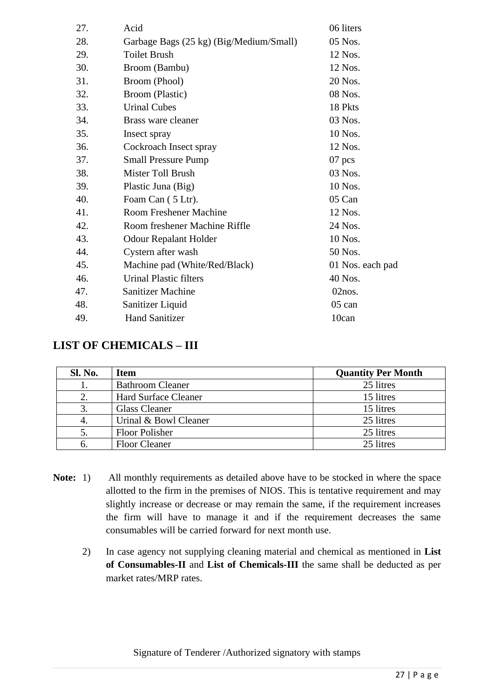| 27. | Acid                                    | 06 liters        |
|-----|-----------------------------------------|------------------|
| 28. | Garbage Bags (25 kg) (Big/Medium/Small) | 05 Nos.          |
| 29. | <b>Toilet Brush</b>                     | 12 Nos.          |
| 30. | Broom (Bambu)                           | 12 Nos.          |
| 31. | Broom (Phool)                           | 20 Nos.          |
| 32. | Broom (Plastic)                         | 08 Nos.          |
| 33. | <b>Urinal Cubes</b>                     | 18 Pkts          |
| 34. | Brass ware cleaner                      | 03 Nos.          |
| 35. | Insect spray                            | 10 Nos.          |
| 36. | Cockroach Insect spray                  | 12 Nos.          |
| 37. | <b>Small Pressure Pump</b>              | $07$ pcs         |
| 38. | Mister Toll Brush                       | 03 Nos.          |
| 39. | Plastic Juna (Big)                      | 10 Nos.          |
| 40. | Foam Can (5 Ltr).                       | 05 Can           |
| 41. | <b>Room Freshener Machine</b>           | 12 Nos.          |
| 42. | Room freshener Machine Riffle           | 24 Nos.          |
| 43. | <b>Odour Repalant Holder</b>            | 10 Nos.          |
| 44. | Cystern after wash                      | 50 Nos.          |
| 45. | Machine pad (White/Red/Black)           | 01 Nos. each pad |
| 46. | <b>Urinal Plastic filters</b>           | 40 Nos.          |
| 47. | <b>Sanitizer Machine</b>                | 02nos.           |
| 48. | Sanitizer Liquid                        | $05$ can         |
| 49. | <b>Hand Sanitizer</b>                   | 10can            |
|     |                                         |                  |

# **LIST OF CHEMICALS – III**

| Sl. No. | <b>Item</b>                 | <b>Quantity Per Month</b> |
|---------|-----------------------------|---------------------------|
|         | <b>Bathroom Cleaner</b>     | 25 litres                 |
|         | <b>Hard Surface Cleaner</b> | 15 litres                 |
|         | <b>Glass Cleaner</b>        | 15 litres                 |
|         | Urinal & Bowl Cleaner       | 25 litres                 |
|         | Floor Polisher              | 25 litres                 |
|         | <b>Floor Cleaner</b>        | 25 litres                 |

- **Note:** 1) All monthly requirements as detailed above have to be stocked in where the space allotted to the firm in the premises of NIOS. This is tentative requirement and may slightly increase or decrease or may remain the same, if the requirement increases the firm will have to manage it and if the requirement decreases the same consumables will be carried forward for next month use.
	- 2) In case agency not supplying cleaning material and chemical as mentioned in **List of Consumables-II** and **List of Chemicals-III** the same shall be deducted as per market rates/MRP rates.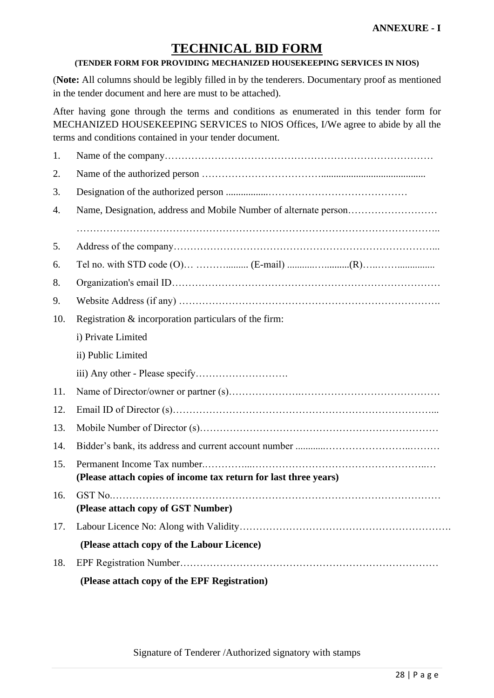# **TECHNICAL BID FORM**

#### **(TENDER FORM FOR PROVIDING MECHANIZED HOUSEKEEPING SERVICES IN NIOS)**

(**Note:** All columns should be legibly filled in by the tenderers. Documentary proof as mentioned in the tender document and here are must to be attached).

After having gone through the terms and conditions as enumerated in this tender form for MECHANIZED HOUSEKEEPING SERVICES to NIOS Offices, I/We agree to abide by all the terms and conditions contained in your tender document.

| Registration & incorporation particulars of the firm:            |
|------------------------------------------------------------------|
| i) Private Limited                                               |
| ii) Public Limited                                               |
|                                                                  |
|                                                                  |
|                                                                  |
|                                                                  |
|                                                                  |
| (Please attach copies of income tax return for last three years) |
| (Please attach copy of GST Number)                               |
|                                                                  |
| (Please attach copy of the Labour Licence)                       |
|                                                                  |
| (Please attach copy of the EPF Registration)                     |
|                                                                  |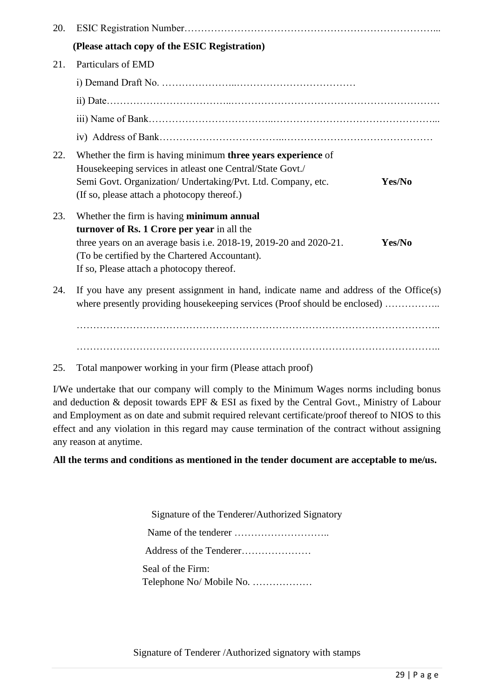| (Please attach copy of the ESIC Registration)<br>Particulars of EMD<br>21.<br>22.<br>Whether the firm is having minimum three years experience of<br>Housekeeping services in atleast one Central/State Govt./<br>Semi Govt. Organization/ Undertaking/Pvt. Ltd. Company, etc.<br>Yes/No<br>(If so, please attach a photocopy thereof.)<br>23.<br>Whether the firm is having minimum annual<br>turnover of Rs. 1 Crore per year in all the<br>three years on an average basis i.e. 2018-19, 2019-20 and 2020-21.<br>Yes/No<br>(To be certified by the Chartered Accountant).<br>If so, Please attach a photocopy thereof.<br>24.<br>where presently providing housekeeping services (Proof should be enclosed) | 20. |                                                                                        |
|----------------------------------------------------------------------------------------------------------------------------------------------------------------------------------------------------------------------------------------------------------------------------------------------------------------------------------------------------------------------------------------------------------------------------------------------------------------------------------------------------------------------------------------------------------------------------------------------------------------------------------------------------------------------------------------------------------------|-----|----------------------------------------------------------------------------------------|
|                                                                                                                                                                                                                                                                                                                                                                                                                                                                                                                                                                                                                                                                                                                |     |                                                                                        |
|                                                                                                                                                                                                                                                                                                                                                                                                                                                                                                                                                                                                                                                                                                                |     |                                                                                        |
|                                                                                                                                                                                                                                                                                                                                                                                                                                                                                                                                                                                                                                                                                                                |     |                                                                                        |
|                                                                                                                                                                                                                                                                                                                                                                                                                                                                                                                                                                                                                                                                                                                |     |                                                                                        |
|                                                                                                                                                                                                                                                                                                                                                                                                                                                                                                                                                                                                                                                                                                                |     |                                                                                        |
|                                                                                                                                                                                                                                                                                                                                                                                                                                                                                                                                                                                                                                                                                                                |     |                                                                                        |
|                                                                                                                                                                                                                                                                                                                                                                                                                                                                                                                                                                                                                                                                                                                |     |                                                                                        |
|                                                                                                                                                                                                                                                                                                                                                                                                                                                                                                                                                                                                                                                                                                                |     |                                                                                        |
|                                                                                                                                                                                                                                                                                                                                                                                                                                                                                                                                                                                                                                                                                                                |     | If you have any present assignment in hand, indicate name and address of the Office(s) |
|                                                                                                                                                                                                                                                                                                                                                                                                                                                                                                                                                                                                                                                                                                                |     |                                                                                        |

25. Total manpower working in your firm (Please attach proof)

I/We undertake that our company will comply to the Minimum Wages norms including bonus and deduction & deposit towards EPF & ESI as fixed by the Central Govt., Ministry of Labour and Employment as on date and submit required relevant certificate/proof thereof to NIOS to this effect and any violation in this regard may cause termination of the contract without assigning any reason at anytime.

**All the terms and conditions as mentioned in the tender document are acceptable to me/us.**

Signature of the Tenderer/Authorized Signatory Name of the tenderer ……………………….. Address of the Tenderer………………… Seal of the Firm: Telephone No/ Mobile No. ………………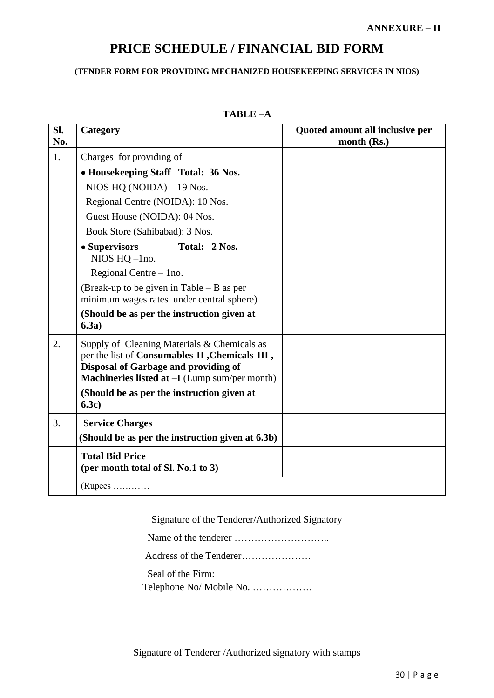# **PRICE SCHEDULE / FINANCIAL BID FORM**

#### **(TENDER FORM FOR PROVIDING MECHANIZED HOUSEKEEPING SERVICES IN NIOS)**

| SI.<br>No. | Category                                                                                                                                                                                                                             | Quoted amount all inclusive per<br>month (Rs.) |
|------------|--------------------------------------------------------------------------------------------------------------------------------------------------------------------------------------------------------------------------------------|------------------------------------------------|
| 1.         | Charges for providing of                                                                                                                                                                                                             |                                                |
|            | • Housekeeping Staff Total: 36 Nos.                                                                                                                                                                                                  |                                                |
|            | NIOS HQ $(NOIDA) - 19$ Nos.                                                                                                                                                                                                          |                                                |
|            | Regional Centre (NOIDA): 10 Nos.                                                                                                                                                                                                     |                                                |
|            | Guest House (NOIDA): 04 Nos.                                                                                                                                                                                                         |                                                |
|            | Book Store (Sahibabad): 3 Nos.                                                                                                                                                                                                       |                                                |
|            | • Supervisors<br>Total: 2 Nos.<br>NIOS $HQ$ -1no.                                                                                                                                                                                    |                                                |
|            | Regional Centre $-$ 1 no.                                                                                                                                                                                                            |                                                |
|            | (Break-up to be given in Table $-$ B as per<br>minimum wages rates under central sphere)                                                                                                                                             |                                                |
|            | (Should be as per the instruction given at<br>6.3a)                                                                                                                                                                                  |                                                |
| 2.         | Supply of Cleaning Materials & Chemicals as<br>per the list of Consumables-II, Chemicals-III,<br>Disposal of Garbage and providing of<br>Machineries listed at -I (Lump sum/per month)<br>(Should be as per the instruction given at |                                                |
|            | 6.3c)                                                                                                                                                                                                                                |                                                |
| 3.         | <b>Service Charges</b>                                                                                                                                                                                                               |                                                |
|            | (Should be as per the instruction given at 6.3b)                                                                                                                                                                                     |                                                |
|            | <b>Total Bid Price</b><br>(per month total of Sl. No.1 to 3)                                                                                                                                                                         |                                                |
|            | $(Rupees$                                                                                                                                                                                                                            |                                                |

# **TABLE –A**

Signature of the Tenderer/Authorized Signatory

Name of the tenderer ………………………..

Address of the Tenderer…………………

Seal of the Firm:

Telephone No/ Mobile No. ………………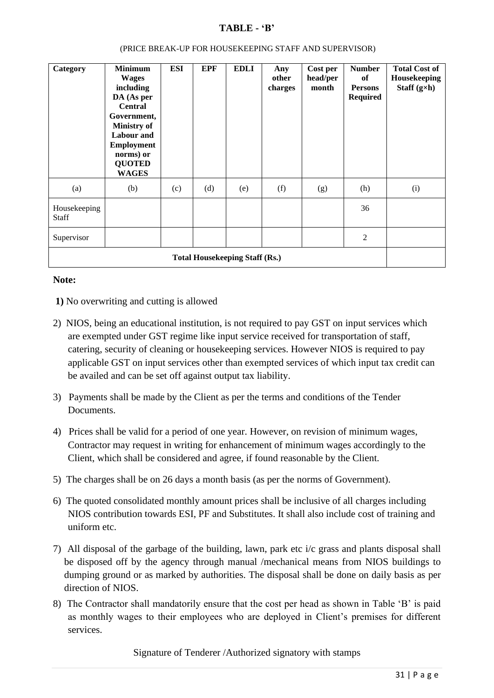# **TABLE - 'B'**

| Category                              | <b>Minimum</b><br><b>Wages</b><br>including<br>DA (As per<br><b>Central</b><br>Government,<br><b>Ministry of</b><br><b>Labour</b> and<br><b>Employment</b><br>norms) or<br><b>QUOTED</b><br><b>WAGES</b> | <b>ESI</b> | <b>EPF</b> | <b>EDLI</b> | Any<br>other<br>charges | Cost per<br>head/per<br>month | <b>Number</b><br>of<br><b>Persons</b><br><b>Required</b> | <b>Total Cost of</b><br>Housekeeping<br>Staff $(g\times h)$ |
|---------------------------------------|----------------------------------------------------------------------------------------------------------------------------------------------------------------------------------------------------------|------------|------------|-------------|-------------------------|-------------------------------|----------------------------------------------------------|-------------------------------------------------------------|
| (a)                                   | (b)                                                                                                                                                                                                      | (c)        | (d)        | (e)         | (f)                     | (g)                           | (h)                                                      | (i)                                                         |
| Housekeeping<br><b>Staff</b>          |                                                                                                                                                                                                          |            |            |             |                         |                               | 36                                                       |                                                             |
| Supervisor                            |                                                                                                                                                                                                          |            |            |             |                         |                               | $\overline{2}$                                           |                                                             |
| <b>Total Housekeeping Staff (Rs.)</b> |                                                                                                                                                                                                          |            |            |             |                         |                               |                                                          |                                                             |

#### (PRICE BREAK-UP FOR HOUSEKEEPING STAFF AND SUPERVISOR)

#### **Note:**

- **1)** No overwriting and cutting is allowed
- 2) NIOS, being an educational institution, is not required to pay GST on input services which are exempted under GST regime like input service received for transportation of staff, catering, security of cleaning or housekeeping services. However NIOS is required to pay applicable GST on input services other than exempted services of which input tax credit can be availed and can be set off against output tax liability.
- 3) Payments shall be made by the Client as per the terms and conditions of the Tender **Documents**
- 4) Prices shall be valid for a period of one year. However, on revision of minimum wages, Contractor may request in writing for enhancement of minimum wages accordingly to the Client, which shall be considered and agree, if found reasonable by the Client.
- 5) The charges shall be on 26 days a month basis (as per the norms of Government).
- 6) The quoted consolidated monthly amount prices shall be inclusive of all charges including NIOS contribution towards ESI, PF and Substitutes. It shall also include cost of training and uniform etc.
- 7) All disposal of the garbage of the building, lawn, park etc i/c grass and plants disposal shall be disposed off by the agency through manual /mechanical means from NIOS buildings to dumping ground or as marked by authorities. The disposal shall be done on daily basis as per direction of NIOS.
- 8) The Contractor shall mandatorily ensure that the cost per head as shown in Table 'B' is paid as monthly wages to their employees who are deployed in Client's premises for different services.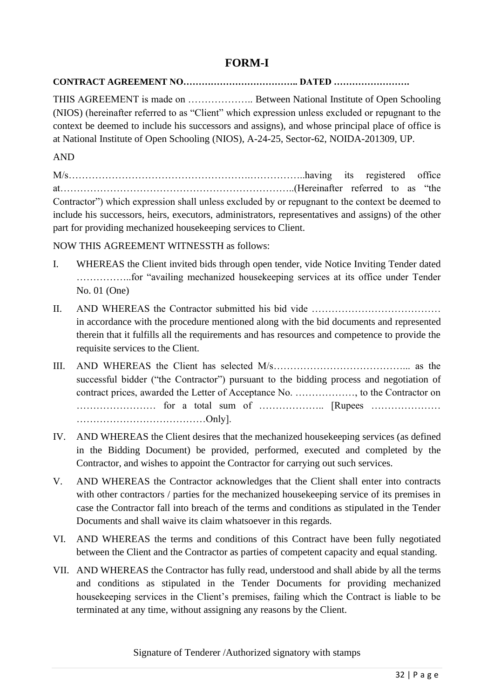# **FORM-I**

# **CONTRACT AGREEMENT NO……………………………….. DATED …………………….**

THIS AGREEMENT is made on ……………….. Between National Institute of Open Schooling (NIOS) (hereinafter referred to as "Client" which expression unless excluded or repugnant to the context be deemed to include his successors and assigns), and whose principal place of office is at National Institute of Open Schooling (NIOS), A-24-25, Sector-62, NOIDA-201309, UP.

AND

M/s……………………………………………….……………..having its registered office at……………………………………………………………..(Hereinafter referred to as "the Contractor") which expression shall unless excluded by or repugnant to the context be deemed to include his successors, heirs, executors, administrators, representatives and assigns) of the other part for providing mechanized housekeeping services to Client.

NOW THIS AGREEMENT WITNESSTH as follows:

- I. WHEREAS the Client invited bids through open tender, vide Notice Inviting Tender dated ……………..for "availing mechanized housekeeping services at its office under Tender No. 01 (One)
- II. AND WHEREAS the Contractor submitted his bid vide ………………………………… in accordance with the procedure mentioned along with the bid documents and represented therein that it fulfills all the requirements and has resources and competence to provide the requisite services to the Client.
- III. AND WHEREAS the Client has selected M/s…………………………………... as the successful bidder ("the Contractor") pursuant to the bidding process and negotiation of contract prices, awarded the Letter of Acceptance No. ………………, to the Contractor on …………………… for a total sum of ……………….. [Rupees ………………… …………………………………Only].
- IV. AND WHEREAS the Client desires that the mechanized housekeeping services (as defined in the Bidding Document) be provided, performed, executed and completed by the Contractor, and wishes to appoint the Contractor for carrying out such services.
- V. AND WHEREAS the Contractor acknowledges that the Client shall enter into contracts with other contractors / parties for the mechanized house keeping service of its premises in case the Contractor fall into breach of the terms and conditions as stipulated in the Tender Documents and shall waive its claim whatsoever in this regards.
- VI. AND WHEREAS the terms and conditions of this Contract have been fully negotiated between the Client and the Contractor as parties of competent capacity and equal standing.
- VII. AND WHEREAS the Contractor has fully read, understood and shall abide by all the terms and conditions as stipulated in the Tender Documents for providing mechanized housekeeping services in the Client's premises, failing which the Contract is liable to be terminated at any time, without assigning any reasons by the Client.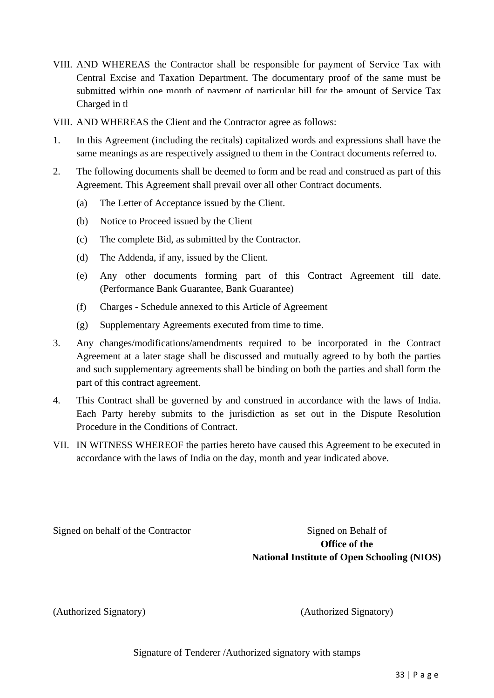- VIII. AND WHEREAS the Contractor shall be responsible for payment of Service Tax with Central Excise and Taxation Department. The documentary proof of the same must be submitted within one month of navment of narticular bill for the amount of Service Tax Charged in the
- VIII. AND WHEREAS the Client and the Contractor agree as follows:
- 1. In this Agreement (including the recitals) capitalized words and expressions shall have the same meanings as are respectively assigned to them in the Contract documents referred to.
- 2. The following documents shall be deemed to form and be read and construed as part of this Agreement. This Agreement shall prevail over all other Contract documents.
	- (a) The Letter of Acceptance issued by the Client.
	- (b) Notice to Proceed issued by the Client
	- (c) The complete Bid, as submitted by the Contractor.
	- (d) The Addenda, if any, issued by the Client.
	- (e) Any other documents forming part of this Contract Agreement till date. (Performance Bank Guarantee, Bank Guarantee)
	- (f) Charges Schedule annexed to this Article of Agreement
	- (g) Supplementary Agreements executed from time to time.
- 3. Any changes/modifications/amendments required to be incorporated in the Contract Agreement at a later stage shall be discussed and mutually agreed to by both the parties and such supplementary agreements shall be binding on both the parties and shall form the part of this contract agreement.
- 4. This Contract shall be governed by and construed in accordance with the laws of India. Each Party hereby submits to the jurisdiction as set out in the Dispute Resolution Procedure in the Conditions of Contract.
- VII. IN WITNESS WHEREOF the parties hereto have caused this Agreement to be executed in accordance with the laws of India on the day, month and year indicated above.

Signed on behalf of the Contractor Signed on Behalf of

**Office of the National Institute of Open Schooling (NIOS)**

(Authorized Signatory) (Authorized Signatory)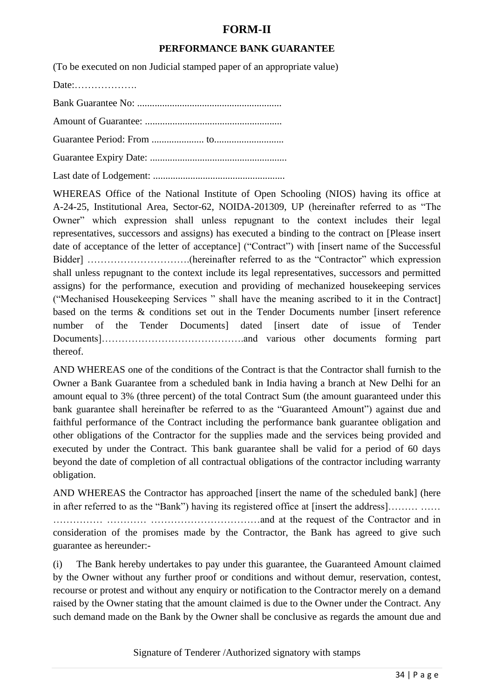# **FORM-II**

### **PERFORMANCE BANK GUARANTEE**

(To be executed on non Judicial stamped paper of an appropriate value)

Date:……………….

Bank Guarantee No: ..........................................................

Amount of Guarantee: .......................................................

Guarantee Period: From ..................... to............................

Guarantee Expiry Date: .......................................................

Last date of Lodgement: .....................................................

WHEREAS Office of the National Institute of Open Schooling (NIOS) having its office at A-24-25, Institutional Area, Sector-62, NOIDA-201309, UP (hereinafter referred to as "The Owner" which expression shall unless repugnant to the context includes their legal representatives, successors and assigns) has executed a binding to the contract on [Please insert date of acceptance of the letter of acceptance] ("Contract") with [insert name of the Successful Bidder] ………………………….(hereinafter referred to as the "Contractor" which expression shall unless repugnant to the context include its legal representatives, successors and permitted assigns) for the performance, execution and providing of mechanized housekeeping services ("Mechanised Housekeeping Services " shall have the meaning ascribed to it in the Contract] based on the terms & conditions set out in the Tender Documents number [insert reference number of the Tender Documentsl dated linsert date of issue of Tender Documents]…………………………………….and various other documents forming part thereof.

AND WHEREAS one of the conditions of the Contract is that the Contractor shall furnish to the Owner a Bank Guarantee from a scheduled bank in India having a branch at New Delhi for an amount equal to 3% (three percent) of the total Contract Sum (the amount guaranteed under this bank guarantee shall hereinafter be referred to as the "Guaranteed Amount") against due and faithful performance of the Contract including the performance bank guarantee obligation and other obligations of the Contractor for the supplies made and the services being provided and executed by under the Contract. This bank guarantee shall be valid for a period of 60 days beyond the date of completion of all contractual obligations of the contractor including warranty obligation.

AND WHEREAS the Contractor has approached [insert the name of the scheduled bank] (here in after referred to as the "Bank") having its registered office at [insert the address]……… …… …………… ………… ……………………………and at the request of the Contractor and in consideration of the promises made by the Contractor, the Bank has agreed to give such guarantee as hereunder:-

(i) The Bank hereby undertakes to pay under this guarantee, the Guaranteed Amount claimed by the Owner without any further proof or conditions and without demur, reservation, contest, recourse or protest and without any enquiry or notification to the Contractor merely on a demand raised by the Owner stating that the amount claimed is due to the Owner under the Contract. Any such demand made on the Bank by the Owner shall be conclusive as regards the amount due and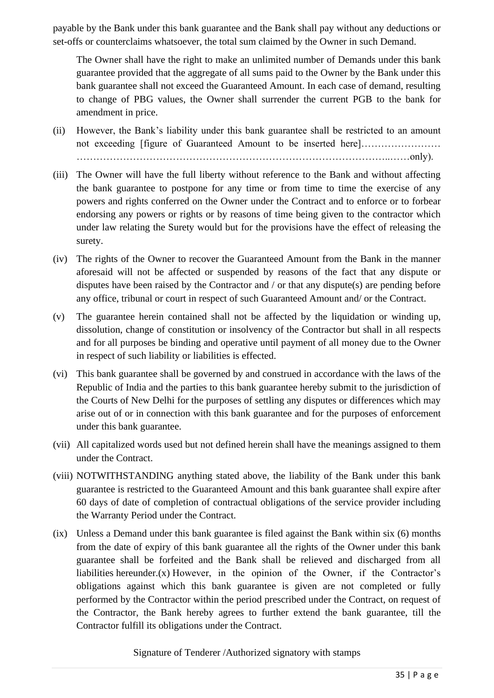payable by the Bank under this bank guarantee and the Bank shall pay without any deductions or set-offs or counterclaims whatsoever, the total sum claimed by the Owner in such Demand.

The Owner shall have the right to make an unlimited number of Demands under this bank guarantee provided that the aggregate of all sums paid to the Owner by the Bank under this bank guarantee shall not exceed the Guaranteed Amount. In each case of demand, resulting to change of PBG values, the Owner shall surrender the current PGB to the bank for amendment in price.

(ii) However, the Bank's liability under this bank guarantee shall be restricted to an amount not exceeding [figure of Guaranteed Amount to be inserted here]…………………… …………………………………………………………………………………..……only).

- (iii) The Owner will have the full liberty without reference to the Bank and without affecting the bank guarantee to postpone for any time or from time to time the exercise of any powers and rights conferred on the Owner under the Contract and to enforce or to forbear endorsing any powers or rights or by reasons of time being given to the contractor which under law relating the Surety would but for the provisions have the effect of releasing the surety.
- (iv) The rights of the Owner to recover the Guaranteed Amount from the Bank in the manner aforesaid will not be affected or suspended by reasons of the fact that any dispute or disputes have been raised by the Contractor and / or that any dispute(s) are pending before any office, tribunal or court in respect of such Guaranteed Amount and/ or the Contract.
- (v) The guarantee herein contained shall not be affected by the liquidation or winding up, dissolution, change of constitution or insolvency of the Contractor but shall in all respects and for all purposes be binding and operative until payment of all money due to the Owner in respect of such liability or liabilities is effected.
- (vi) This bank guarantee shall be governed by and construed in accordance with the laws of the Republic of India and the parties to this bank guarantee hereby submit to the jurisdiction of the Courts of New Delhi for the purposes of settling any disputes or differences which may arise out of or in connection with this bank guarantee and for the purposes of enforcement under this bank guarantee.
- (vii) All capitalized words used but not defined herein shall have the meanings assigned to them under the Contract.
- (viii) NOTWITHSTANDING anything stated above, the liability of the Bank under this bank guarantee is restricted to the Guaranteed Amount and this bank guarantee shall expire after 60 days of date of completion of contractual obligations of the service provider including the Warranty Period under the Contract.
- (ix) Unless a Demand under this bank guarantee is filed against the Bank within six (6) months from the date of expiry of this bank guarantee all the rights of the Owner under this bank guarantee shall be forfeited and the Bank shall be relieved and discharged from all liabilities hereunder. $(x)$  However, in the opinion of the Owner, if the Contractor's obligations against which this bank guarantee is given are not completed or fully performed by the Contractor within the period prescribed under the Contract, on request of the Contractor, the Bank hereby agrees to further extend the bank guarantee, till the Contractor fulfill its obligations under the Contract.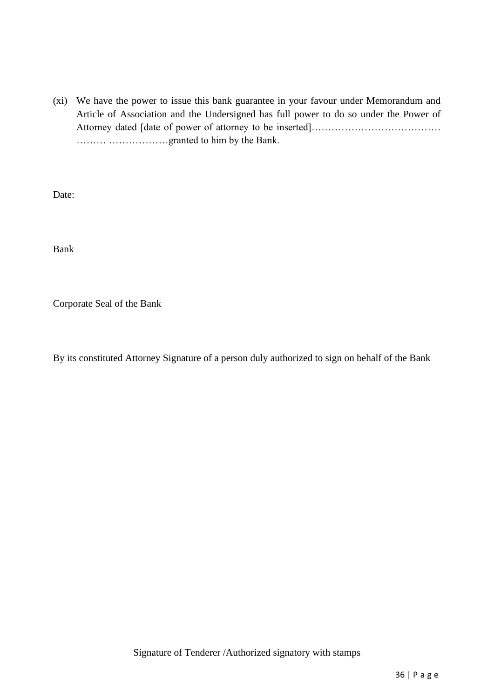(xi) We have the power to issue this bank guarantee in your favour under Memorandum and Article of Association and the Undersigned has full power to do so under the Power of Attorney dated [date of power of attorney to be inserted]………………………………… ……… ………………granted to him by the Bank.

Date:

Bank

Corporate Seal of the Bank

By its constituted Attorney Signature of a person duly authorized to sign on behalf of the Bank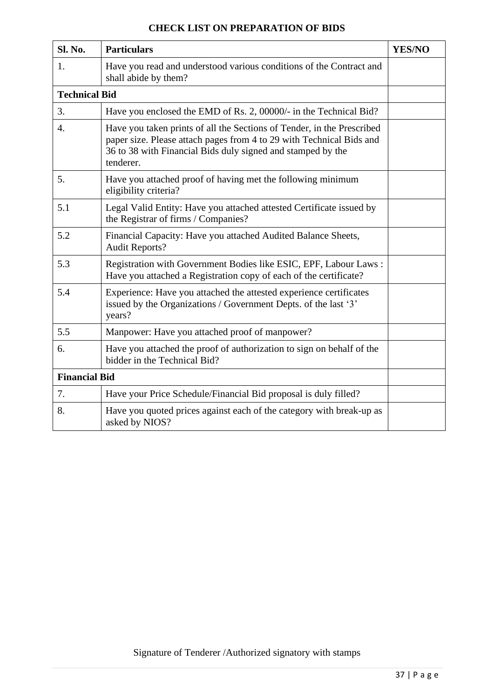| <b>Sl. No.</b>       | <b>Particulars</b>                                                                                                                                                                                                         | <b>YES/NO</b> |
|----------------------|----------------------------------------------------------------------------------------------------------------------------------------------------------------------------------------------------------------------------|---------------|
| 1.                   | Have you read and understood various conditions of the Contract and<br>shall abide by them?                                                                                                                                |               |
| <b>Technical Bid</b> |                                                                                                                                                                                                                            |               |
| 3.                   | Have you enclosed the EMD of Rs. 2, 00000/- in the Technical Bid?                                                                                                                                                          |               |
| $\overline{4}$ .     | Have you taken prints of all the Sections of Tender, in the Prescribed<br>paper size. Please attach pages from 4 to 29 with Technical Bids and<br>36 to 38 with Financial Bids duly signed and stamped by the<br>tenderer. |               |
| 5.                   | Have you attached proof of having met the following minimum<br>eligibility criteria?                                                                                                                                       |               |
| 5.1                  | Legal Valid Entity: Have you attached attested Certificate issued by<br>the Registrar of firms / Companies?                                                                                                                |               |
| 5.2                  | Financial Capacity: Have you attached Audited Balance Sheets,<br><b>Audit Reports?</b>                                                                                                                                     |               |
| 5.3                  | Registration with Government Bodies like ESIC, EPF, Labour Laws:<br>Have you attached a Registration copy of each of the certificate?                                                                                      |               |
| 5.4                  | Experience: Have you attached the attested experience certificates<br>issued by the Organizations / Government Depts. of the last '3'<br>years?                                                                            |               |
| 5.5                  | Manpower: Have you attached proof of manpower?                                                                                                                                                                             |               |
| 6.                   | Have you attached the proof of authorization to sign on behalf of the<br>bidder in the Technical Bid?                                                                                                                      |               |
| <b>Financial Bid</b> |                                                                                                                                                                                                                            |               |
| 7.                   | Have your Price Schedule/Financial Bid proposal is duly filled?                                                                                                                                                            |               |
| 8.                   | Have you quoted prices against each of the category with break-up as<br>asked by NIOS?                                                                                                                                     |               |

# **CHECK LIST ON PREPARATION OF BIDS**